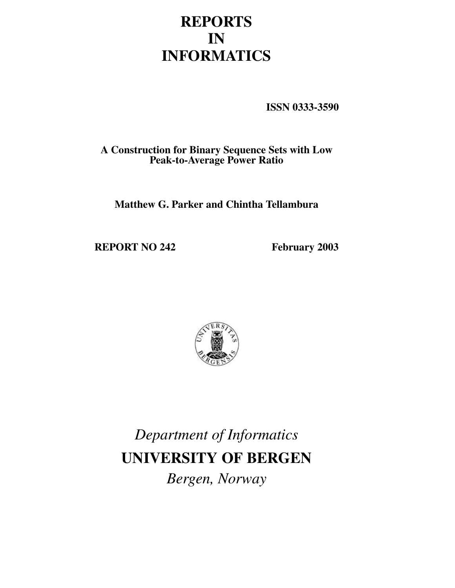# **REPORTS IN INFORMATICS**

**ISSN 0333-3590**

**A Construction for Binary Sequence Sets with Low Peak-to-Average Power Ratio**

**Matthew G. Parker and Chintha Tellambura**

**REPORT NO 242 February 2003**



*Department of Informatics* **UNIVERSITY OF BERGEN** *Bergen, Norway*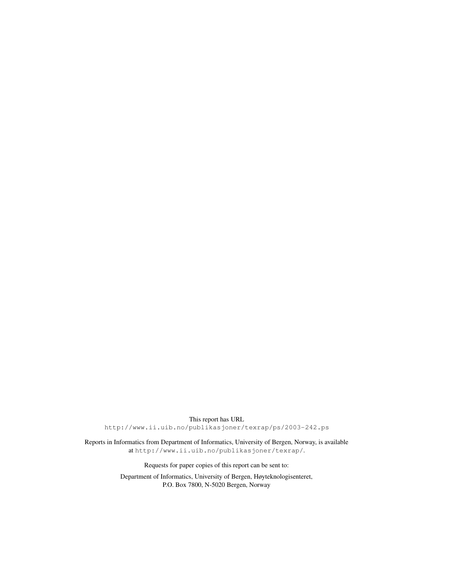This report has URL http://www.ii.uib.no/publikasjoner/texrap/ps/2003-242.ps

Reports in Informatics from Department of Informatics, University of Bergen, Norway, is available at http://www.ii.uib.no/publikasjoner/texrap/.

Requests for paper copies of this report can be sent to:

Department of Informatics, University of Bergen, Høyteknologisenteret, P.O. Box 7800, N-5020 Bergen, Norway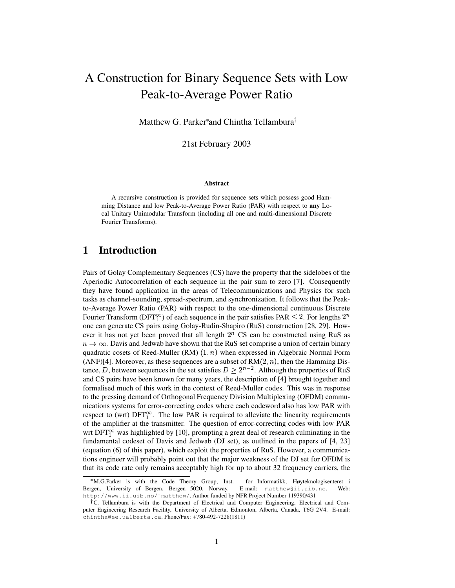# A Construction for Binary Sequence Sets with Low Peak-to-Average Power Ratio

Matthew G. Parker\*and Chintha Tellambura<sup>†</sup>

21st February 2003

#### **Abstract**

A recursive construction is provided for sequence sets which possess good Hamming Distance and low Peak-to-Average Power Ratio (PAR) with respect to **any** Local Unitary Unimodular Transform (including all one and multi-dimensional Discrete Fourier Transforms).

# **1 Introduction**

Pairs of Golay Complementary Sequences (CS) have the property that the sidelobes of the Aperiodic Autocorrelation of each sequence in the pair sum to zero [7]. Consequently they have found application in the areas of Telecommunications and Physics for such tasks as channel-sounding, spread-spectrum, and synchronization. It follows that the Peakto-Average Power Ratio (PAR) with respect to the one-dimensional continuous Discrete Fourier Transform (DFT<sup> $\infty$ </sup>) of each sequence in the pair satisfies PAR  $\leq 2$ . For lengths  $2^n$ one can generate CS pairs using Golay-Rudin-Shapiro (RuS) construction [28, 29]. However it has not yet been proved that all length  $2<sup>n</sup>$  CS can be constructed using RuS as  $n \to \infty$ . Davis and Jedwab have shown that the RuS set comprise a union of certain binary quadratic cosets of Reed-Muller (RM)  $(1, n)$  when expressed in Algebraic Normal Form (ANF)[4]. Moreover, as these sequences are a subset of  $RM(2, n)$ , then the Hamming Distance, D, between sequences in the set satisfies  $D > 2^{n-2}$ . Although the properties of RuS and CS pairs have been known for many years, the description of [4] brought together and formalised much of this work in the context of Reed-Muller codes. This was in response to the pressing demand of Orthogonal Frequency Division Multiplexing (OFDM) communications systems for error-correcting codes where each codeword also has low PAR with respect to (wrt)  $DFT_1^{\infty}$ . The low PAR is required to alleviate the linearity requirements of the amplifier at the transmitter. The question of error-correcting codes with low PAR wrt DFT $_1^{\infty}$  was highlighted by [10], prompting a great deal of research culminating in the fundamental codeset of Davis and Jedwab (DJ set), as outlined in the papers of [4, 23] (equation (6) of this paper), which exploit the properties of RuS. However, a communications engineer will probably point out that the major weakness of the DJ set for OFDM is that its code rate only remains acceptably high for up to about 32 frequency carriers, the

M.G.Parker is with the Code Theory Group, Inst. for Informatikk, Høyteknologisenteret i Bergen, University of Bergen, Bergen 5020, Norway. E-mail: matthew@ii.uib.no. Web: http://www.ii.uib.no/˜matthew/, Author funded by NFR Project Number 119390/431

<sup>&</sup>lt;sup>†</sup>C. Tellambura is with the Department of Electrical and Computer Engineering, Electrical and Computer Engineering Research Facility, University of Alberta, Edmonton, Alberta, Canada, T6G 2V4. E-mail: chintha@ee.ualberta.ca. Phone/Fax: +780-492-7228(1811)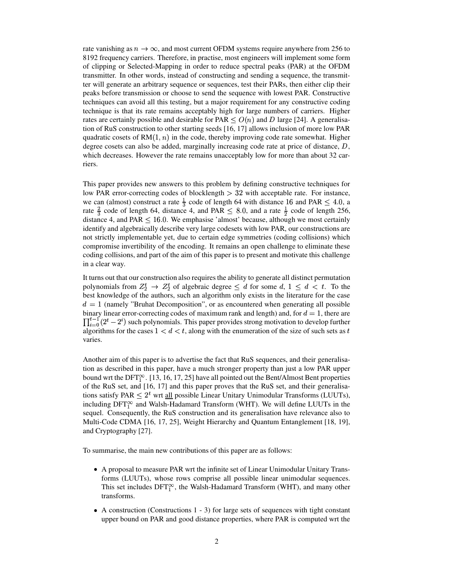rate vanishing as  $n \to \infty$ , and most current OFDM systems require anywhere from 256 to 8192 frequency carriers. Therefore, in practise, most engineers will implement some form of clipping or Selected-Mapping in order to reduce spectral peaks (PAR) at the OFDM transmitter. In other words, instead of constructing and sending a sequence, the transmitter will generate an arbitrary sequence or sequences, test their PARs, then either clip their peaks before transmission or choose to send the sequence with lowest PAR. Constructive techniques can avoid all this testing, but a major requirement for any constructive coding technique is that its rate remains acceptably high for large numbers of carriers. Higher rates are certainly possible and desirable for PAR  $\lt O(n)$  and D large [24]. A generalisation of RuS construction to other starting seeds [16, 17] allows inclusion of more low PAR quadratic cosets of  $RM(1, n)$  in the code, thereby improving code rate somewhat. Higher degree cosets can also be added, marginally increasing code rate at price of distance,  $D$ , which decreases. However the rate remains unacceptably low for more than about 32 carriers.

This paper provides new answers to this problem by defining constructive techniques for low PAR error-correcting codes of blocklength  $>32$  with acceptable rate. For instance, we can (almost) construct a rate  $\frac{1}{3}$  code of length 64 with distance 16 and PAR  $\leq 4.0$ , a rate  $\frac{2}{3}$  code of length 64, distance 4, and PAR  $\leq 8.0$ , and a rate  $\frac{1}{2}$  code of length 256, distance 4, and PAR  $\leq 16.0$ . We emphasise 'almost' because, although we most certainly identify and algebraically describe very large codesets with low PAR, our constructions are not strictly implementable yet, due to certain edge symmetries (coding collisions) which compromise invertibility of the encoding. It remains an open challenge to eliminate these coding collisions, and part of the aim of this paper is to present and motivate this challenge in a clear way.

It turns out that our construction also requires the ability to generate all distinct permutation polynomials from  $Z_2^t \rightarrow Z_2^t$  of algebraic degree  $\leq d$  for some  $d, 1 \leq d < t$ . To the best knowledge of the authors, such an algorithm only exists in the literature for the case  $d = 1$  (namely "Bruhat Decomposition", or as encountered when generating all possible binary linear error-correcting codes of maximum rank and length) and, for  $d=1$ , there are  $\prod_{i=0}^{t-1} (2^t - 2^i)$  such po  $\epsilon^{i}$ ) such polynomials. This paper provides strong motivation to develop further algorithms for the cases  $1 < d < t$ , along with the enumeration of the size of such sets as t varies.

Another aim of this paper is to advertise the fact that RuS sequences, and their generalisation as described in this paper, have a much stronger property than just a low PAR upper bound wrt the  $DFT_1^{\infty}$ . [13, 16, 17, 25] have all pointed out the Bent/Almost Bent properties of the RuS set, and [16, 17] and this paper proves that the RuS set, and their generalisations satisfy PAR  $\leq 2^t$  wrt <u>all</u> possible Linear Unitary Unimodular Transforms (LUUTs), including  $DFT_1^{\infty}$  and Walsh-Hadamard Transform (WHT). We will define LUUTs in the sequel. Consequently, the RuS construction and its generalisation have relevance also to Multi-Code CDMA [16, 17, 25], Weight Hierarchy and Quantum Entanglement [18, 19], and Cryptography [27].

To summarise, the main new contributions of this paper are as follows:

- A proposal to measure PAR wrt the infinite set of Linear Unimodular Unitary Transforms (LUUTs), whose rows comprise all possible linear unimodular sequences. This set includes  $DFT_1^{\infty}$ , the Walsh-Hadamard Transform (WHT), and many other transforms.
- $\bullet$  A construction (Constructions 1 3) for large sets of sequences with tight constant upper bound on PAR and good distance properties, where PAR is computed wrt the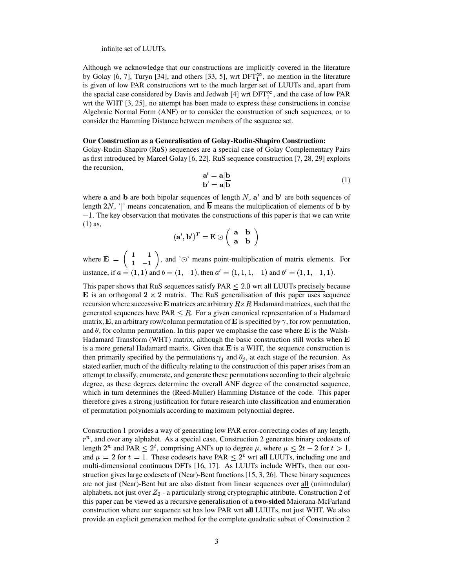#### infinite set of LUUTs.

Although we acknowledge that our constructions are implicitly covered in the literature by Golay [6, 7], Turyn [34], and others [33, 5], wrt  $DFT_1^{\infty}$ , no mention in the literature is given of low PAR constructions wrt to the much larger set of LUUTs and, apart from the special case considered by Davis and Jedwab [4] wrt  $DFT_1^{\infty}$ , and the case of low PAR wrt the WHT [3, 25], no attempt has been made to express these constructions in concise Algebraic Normal Form (ANF) or to consider the construction of such sequences, or to consider the Hamming Distance between members of the sequence set.

#### **Our Construction as a Generalisation of Golay-Rudin-Shapiro Construction:**

Golay-Rudin-Shapiro (RuS) sequences are a special case of Golay Complementary Pairs as first introduced by Marcel Golay [6, 22]. RuS sequence construction [7, 28, 29] exploits the recursion,

$$
\mathbf{a}' = \mathbf{a} | \mathbf{b} \n\mathbf{b}' = \mathbf{a} | \overline{\mathbf{b}} \tag{1}
$$

where **a** and **b** are both bipolar sequences of length  $N$ ,  $\mathbf{a}'$  and  $\mathbf{b}'$  are both sequences of length  $2N$ , '|' means concatenation, and  $\overline{b}$  means the multiplication of elements of **b** by  $-1$ . The key observation that motivates the constructions of this paper is that we can write (1) as,

$$
(\mathbf{a}',\mathbf{b}')^T = \mathbf{E} \odot \left( \begin{array}{cc} \mathbf{a} & \mathbf{b} \\ \mathbf{a} & \mathbf{b} \end{array} \right)
$$

where  $\mathbf{E} = \begin{pmatrix} 1 & 1 \\ 1 & 1 \end{pmatrix}$ , and ' $\odot$ ' means point-multiplication of matrix elements. For instance, if  $a = (1, 1)$  and  $b = (1, -1)$ , then  $a' = (1, 1, 1, -1)$  and  $b' = (1, 1, -1, 1)$ .

This paper shows that RuS sequences satisfy  $PAR < 2.0$  wrt all LUUTs precisely because  $\bf{E}$  is an orthogonal 2  $\times$  2 matrix. The RuS generalisation of this paper uses sequence recursion where successive **E** matrices are arbitrary  $R \times R$  Hadamard matrices, such that the generated sequences have  $PAR \leq R$ . For a given canonical representation of a Hadamard matrix, **E**, an arbitrary row/column permutation of **E** is specified by  $\gamma$ , for row permutation, and  $\theta$ , for column permutation. In this paper we emphasise the case where **E** is the Walsh-Hadamard Transform (WHT) matrix, although the basic construction still works when  $E$ is a more general Hadamard matrix. Given that  $E$  is a WHT, the sequence construction is then primarily specified by the permutations  $\gamma_j$  and  $\theta_j$ , at each stage of the recursion. As stated earlier, much of the difficulty relating to the construction of this paper arises from an attempt to classify, enumerate, and generate these permutations according to their algebraic degree, as these degrees determine the overall ANF degree of the constructed sequence, which in turn determines the (Reed-Muller) Hamming Distance of the code. This paper therefore gives a strong justification for future research into classification and enumeration of permutation polynomials according to maximum polynomial degree.

Construction 1 provides a way of generating low PAR error-correcting codes of any length,  $r^n$ , and over any alphabet. As a special case, Construction 2 generates binary codesets of length  $2^n$  and PAR  $\leq 2^t$ , comprising ANFs up to degree  $\mu$ , where  $\mu \leq 2t-2$  for  $t>1$ , and  $\mu = 2$  for  $t = 1$ . These codesets have PAR  $\leq 2^t$  wrt **all** LUUTs, including one and multi-dimensional continuous DFTs [16, 17]. As LUUTs include WHTs, then our construction gives large codesets of (Near)-Bent functions [15, 3, 26]. These binary sequences are not just (Near)-Bent but are also distant from linear sequences over all (unimodular) alphabets, not just over  $Z_2$  - a particularly strong cryptographic attribute. Construction 2 of this paper can be viewed as a recursive generalisation of a **two-sided** Maiorana-McFarland construction where our sequence set has low PAR wrt **all** LUUTs, not just WHT. We also provide an explicit generation method for the complete quadratic subset of Construction 2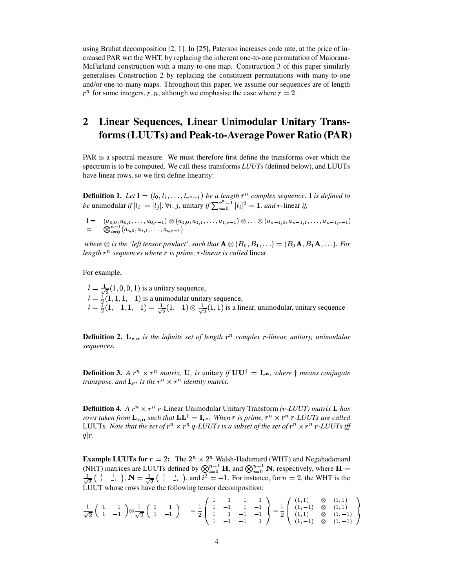using Bruhat decomposition [2, 1]. In [25], Paterson increases code rate, at the price of increased PAR wrt the WHT, by replacing the inherent one-to-one permutation of Maiorana-McFarland construction with a many-to-one map. Construction 3 of this paper similarly generalises Construction 2 by replacing the constituent permutations with many-to-one and/or one-to-many maps. Throughout this paper, we assume our sequences are of length  $r^n$  for some integers, r, n, although we emphasise the case where  $r = 2$ .

# **2 Linear Sequences, Linear Unimodular Unitary Transforms(LUUTs) and Peak-to-Average Power Ratio (PAR)**

PAR is a spectral measure. We must therefore first define the transforms over which the spectrum is to be computed. We call these transforms *LUUTs* (defined below), and LUUTs have linear rows, so we first define linearity:

**Definition 1.** Let  $\mathbf{l} = (l_0, l_1, \ldots, l_{r^n-1})$  be a length  $r^n$  complex sequence. I is defined to *be* unimodular *if*  $|l_i| = |$ ?  $|l_j|$ ,  $\forall i, j$ , unitary *if*  $\sum_{i=0}^{r^n-1} |l_i|^2 = 1$ , and *r*-linear *if*,

 $1 = \ \ \ \ (a_{0,0}, a_{0,1}, \ldots, a_{0,r-1}) \otimes (a_{1,0}, a_{1,1}, \ldots, a_{1,r-1}) \otimes \ldots \otimes (a_{n-1,0}, a_{n-1,1}, \ldots, a_{n-1,r-1})$  $n=1$   $(a \cdot a \cdot a \cdot b \cdot a \cdot b)$ 

where  $\otimes$  is the 'left tensor product', such that  ${\bf A}\otimes (B_0,B_1,\ldots)=(B_0{\bf A},B_1{\bf A},\ldots)$ . For *length*  $r^n$  *sequences where*  $r$  *is prime,*  $r$ -*linear is called* linear.

For example,

 $l = \frac{1}{2} (1, 0, 0, 1)$  is . . . .  $(1, 0, 0, 1)$  is a unitary sequence,  $l = \frac{1}{2}(1, 1, 1, -1)$ . . . . .  $(1, 1, 1, -1)$  is a unimodular unitary sequence,  $l=\frac{1}{2}(1,-1,1,-1)=\frac{1}{\sqrt{2}}(1,-1)\otimes\frac{1}{\sqrt{2}}(1,1)$  is a linear, unimodular, unitary sequence

**Definition 2.**  $\mathbf{L_{r,n}}$  is the infinite set of length  $r^n$  complex r-linear, unitary, unimodular *sequences.*

**Definition 3.** *A*  $r^n \times r^n$  *matrix,* **U**, *is* unitary *if*  $UU^{\dagger} = I_{r^n}$ *, where*  $\dagger$  *means conjugate transpose, and*  $\mathbf{I}_{\mathbf{r}^n}$  *is the*  $r^n \times r^n$  *identity matrix.* 

**Definition 4.** *A*  $r^n \times r^n$  *r*-Linear Unimodular Unitary Transform *(r-LUUT) matrix* **L** *has rows taken from*  $\mathbf{L_{r,n}}$  *such that*  $\mathbf{L}\mathbf{L}^\dagger = \mathbf{I_{r^n}}$ . When  $r$  is prime,  $r^n \times r^n$   $r$ -LUUTs are called LUUTs. Note that the set of  $r^n \times r^n$   $q$ -LUUTs is a subset of the set of  $r^n \times r^n$   $r$ -LUUTs iff  $q|r$ .

**Example LUUTs for**  $r = 2$ : The  $2^n \times 2^n$  Walsh-Hadamard (WHT) and Negahadamard (NHT) matrices are LUUTs defined by  $\bigotimes_{i=0}^{n-1} \mathbf{H}$ , and  $\bigotimes_{i=0}^{n-1} \mathbf{N}$ , respectively, where  $\mathbf{H} = \frac{1}{\sqrt{2}} \begin{pmatrix} 1 & 1 \ 1 & -1 \end{pmatrix}$ ,  $\mathbf{N} = \frac{1}{\sqrt{2}} \begin{pmatrix} 1 & i \ 1 & -i \end{pmatrix}$ , and  $i^2 = -1$ . For instance LUUT whose rows have the following tensor decomposition:

$$
\frac{1}{\sqrt{2}}\begin{pmatrix} 1 & 1 \ 1 & -1 \end{pmatrix} \otimes \frac{1}{\sqrt{2}}\begin{pmatrix} 1 & 1 \ 1 & -1 \end{pmatrix} = \frac{1}{2}\begin{pmatrix} 1 & 1 & 1 \ 1 & -1 & 1 \ 1 & 1 & -1 \ 1 & 1 & -1 \end{pmatrix} = \frac{1}{2}\begin{pmatrix} (1,1) & \otimes & (1,1) \\ (1,-1) & \otimes & (1,1) \\ (1,1) & \otimes & (1,-1) \\ (1,-1) & \otimes & (1,-1) \end{pmatrix}
$$

ÆÙÆÚ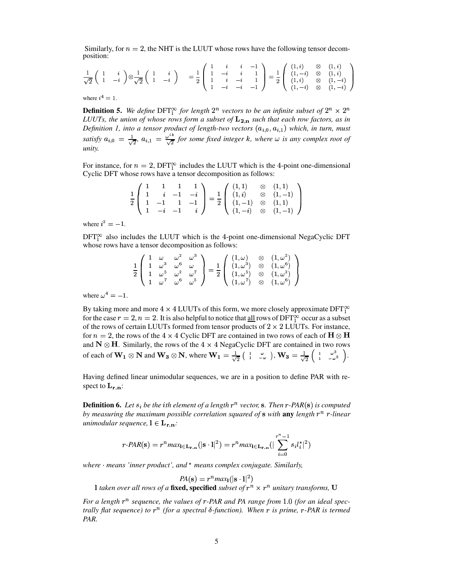Similarly, for  $n = 2$ , the NHT is the LUUT whose rows have the following tensor decomposition:

$$
\frac{1}{\sqrt{2}}\begin{pmatrix} 1 & i \\ 1 & -i \end{pmatrix} \otimes \frac{1}{\sqrt{2}}\begin{pmatrix} 1 & i \\ 1 & -i \end{pmatrix} = \frac{1}{2}\begin{pmatrix} 1 & i & i & -1 \\ 1 & -i & i & 1 \\ 1 & i & -i & 1 \\ 1 & -i & -i & -1 \end{pmatrix} = \frac{1}{2}\begin{pmatrix} (1, i) & \otimes & (1, i) \\ (1, -i) & \otimes & (1, i) \\ (1, i) & \otimes & (1, -i) \\ (1, -i) & \otimes & (1, -i) \end{pmatrix}
$$

where  $i^4 = 1$ .

**Definition 5.** We define DFT<sup> $\infty$ </sup> for length  $2^n$  vectors to be an infinite subset of  $2^n \times 2^n$ LUUTs, the union of whose rows form a subset of  $L_{2,n}$  such that each row factors, as in Definition 1, into a tensor product of length-two vectors  $(a_{i,0}, a_{i,1})$  which, in turn, must satisfy  $a_{i,0} = \frac{1}{\sqrt{2}}$ ,  $a_{i,1} = \frac{\omega^{ik}}{\sqrt{2}}$  for some fixed integer k, where  $\omega$  is any complex root of unity.

For instance, for  $n = 2$ , DFT<sup> $\infty$ </sup> includes the LUUT which is the 4-point one-dimensional Cyclic DFT whose rows have a tensor decomposition as follows:

|  |  |  |  | $\frac{1}{2}\left( \begin{array}{cccc} 1 & 1 & 1 & 1 \\ 1 & i & -1 & -i \\ 1 & -1 & 1 & -1 \\ \end{array} \right) = \frac{1}{2}\left( \begin{array}{cccc} (1,1) & \otimes & (1,1) \\ (1,i) & \otimes & (1,-1) \\ (1,-1) & \otimes & (1,1) \\ \end{array} \right)$ |
|--|--|--|--|-------------------------------------------------------------------------------------------------------------------------------------------------------------------------------------------------------------------------------------------------------------------|
|  |  |  |  | $\left( \begin{array}{ccc} 1 & -i & -1 & i \end{array} \right) \qquad \left( \begin{array}{ccc} (1, -i) & \otimes & (1, -1) \end{array} \right)$                                                                                                                  |

where  $i^2 = -1$ .

 $DFT_1^{\infty}$  also includes the LUUT which is the 4-point one-dimensional NegaCyclic DFT whose rows have a tensor decomposition as follows:

$$
\frac{1}{2} \begin{pmatrix} 1 & \omega & \omega^2 & \omega^3 \\ 1 & \omega^3 & \omega^6 & \omega \\ 1 & \omega^5 & \omega^2 & \omega^7 \\ 1 & \omega^7 & \omega^6 & \omega^5 \end{pmatrix} = \frac{1}{2} \begin{pmatrix} (1,\omega) & \otimes & (1,\omega^2) \\ (1,\omega^3) & \otimes & (1,\omega^6) \\ (1,\omega^5) & \otimes & (1,\omega^2) \\ (1,\omega^7) & \otimes & (1,\omega^6) \end{pmatrix}
$$

where  $\omega^4 = -1$ .

By taking more and more  $4 \times 4$  LUUTs of this form, we more closely approximate DFT $_1^{\infty}$ for the case  $r = 2$ ,  $n = 2$ . It is also helpful to notice that all rows of DFT<sup>o</sup> occur as a subset of the rows of certain LUUTs formed from tensor products of  $2 \times 2$  LUUTs. For instance, for  $n = 2$ , the rows of the  $4 \times 4$  Cyclic DFT are contained in two rows of each of  $H \otimes H$ and  $N \otimes H$ . Similarly, the rows of the 4  $\times$  4 NegaCyclic DFT are contained in two rows of each of  $W_1 \otimes N$  and  $W_3 \otimes N$ , where  $W_1 = \frac{1}{\sqrt{2}} \begin{pmatrix} 1 & \omega \\ 1 & -\omega \end{pmatrix}$ ,  $W_3 = \frac{1}{\sqrt{2}} \begin{pmatrix} 1 & \omega^3 \\ 1 & -\omega^3 \end{pmatrix}$ .

Having defined linear unimodular sequences, we are in a position to define PAR with respect to  $\mathbf{L}_{\mathbf{r} \cdot \mathbf{n}}$ :

**Definition 6.** Let  $s_i$  be the ith element of a length  $r^n$  vector, s. Then  $r$ -PAR(s) is computed by measuring the maximum possible correlation squared of  $\bf s$  with any length  $r^n$  r-linear *unimodular sequence*,  $l \in L_{r,n}$ .

$$
r\text{-}PAR(\mathbf{s}) = r^n \max_{\mathbf{l} \in \mathbf{L}_{\mathbf{r},\mathbf{n}}} (|\mathbf{s} \cdot \mathbf{l}|^2) = r^n \max_{\mathbf{l} \in \mathbf{L}_{\mathbf{r},\mathbf{n}}} (|\sum_{i=0}^{r^n - 1} s_i l_i^*|^2)
$$

where  $\cdot$  means 'inner product', and  $*$  means complex conjugate. Similarly,

 $PA(\mathbf{s}) = r^n max_1(|\mathbf{s} \cdot \mathbf{l}|^2)$ 

1 taken over all rows of a fixed, specified subset of  $r^n \times r^n$  unitary transforms, U

For a length  $r^n$  sequence, the values of  $r$ -PAR and PA range from 1.0 (for an ideal spectrally flat sequence) to  $r^n$  (for a spectral  $\delta$ -function). When r is prime, r-PAR is termed PAR.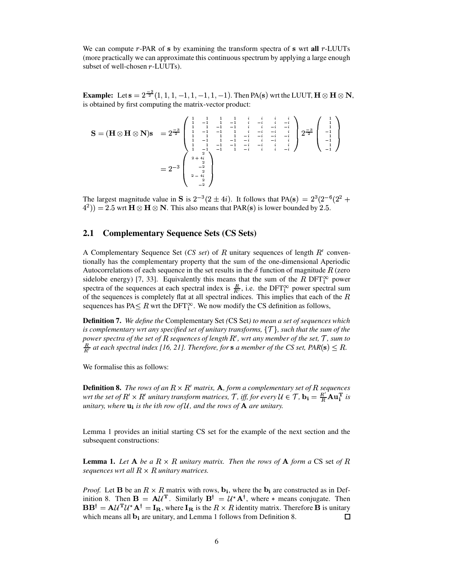We can compute  $r$ -PAR of  $s$  by examining the transform spectra of  $s$  wrt all  $r$ -LUUTs (more practically we can approximate this continuousspectrum by applying a large enough subset of well-chosen  $r$ -LUUTs).

**Example:** Let  $\mathbf{s} = 2^{-\frac{\infty}{2}}(1, 1, 1, -1, 1, -1, 1, -1)$ . Then PA(s) wrt the LUUT,  $\mathbf{H} \otimes \mathbf{H} \otimes \mathbf{N}$ , is obtained by first computing the matrix-vector product:

$$
\mathbf{S} = (\mathbf{H} \otimes \mathbf{H} \otimes \mathbf{N})\mathbf{s} = 2^{\frac{-3}{2}} \begin{pmatrix} 1 & 1 & 1 & 1 & i & i & i & i & i \\ 1 & -1 & 1 & -1 & i & -i & i & -i \\ 1 & -1 & -1 & -1 & i & -i & -i & -i \\ 1 & -1 & -1 & -1 & i & -i & -i & -i & i \\ 1 & -1 & 1 & -1 & -i & -i & -i & -i & i \\ 1 & -1 & 1 & -1 & -1 & -i & -i & -i & i \\ 1 & -1 & -1 & -1 & -i & -i & -i & i & i \\ 1 & -1 & -1 & -1 & -i & -i & -i & i & i \\ 1 & -1 & -1 & -1 & -i & -i & i & i & i \\ 1 & -1 & -1 & -1 & -i & -i & i & i & -i \\ 1 & -1 & -1 & -1 & -i & -i & i & i & -i \\ 2 & 2 & 2 & 2 & 2 & 2 & 2 & -1 \end{pmatrix}
$$

The largest magnitude value in S is  $2^{-3}(2 \pm 4i)$ . It follows that PA(s) =  $2^3(2^{-6}(2^2 +$  $(4^2)$ ) = 2.5 wrt  $\mathbf{H} \otimes \mathbf{H} \otimes \mathbf{N}$ . This also means that PAR(s) is lower bounded by 2.5.

### **2.1 Complementary Sequence Sets (CS Sets)**

A Complementary Sequence Set  $(CS set)$  of R unitary sequences of length  $R'$  conventionally has the complementary property that the sum of the one-dimensional Aperiodic Autocorrelations of each sequence in the set results in the  $\delta$  function of magnitude R (zero sidelobe energy) [7, 33]. Equivalently this means that the sum of the R DFT $_{1}^{\infty}$  power spectra of the sequences at each spectral index is  $\frac{R}{R}$ , i.e. the DFT $_{\perp}^{\infty}$  power spectral sum of the sequences is completely flat at all spectral indices. This implies that each of the  $R$ sequences has PA $\leq R$  wrt the DFT $_1^\infty$ . We now modify the CS definition as follows,

**Definition 7.** *We define the* Complementary Set *(*CS Set*) to mean a set of sequences which*  $i$ s  $i$  *complementary wrt any specified set of unitary transforms,*  $\{\mathcal{T}\}$ *, such that the sum of the power spectra of the set of*  $R$  *sequences of length*  $R'$ *, wrt any member of the set,*  $\mathcal T$ *, sum to*  $\frac{R}{R'}$  at each spectral index [16, 21]. Therefore, for **s** a member of the CS set, PAR( $\mathbf{s}$ )  $\leq R$ .

We formalise this as follows:

**Definition 8.** The rows of an  $R \times R'$  matrix,  $A$ , form a complementary set of  $R$  sequences *wrt* the set of  $R' \times R'$  unitary transform matrices,  $\mathcal{T}$ , iff, for every  $\mathcal{U} \in \mathcal{T}$ ,  $\mathbf{b_i} = \frac{R'}{R} \mathbf{A u_i^T}$  is *unitary, where*  $\mathbf{u_i}$  *is the ith row of* U, and the *rows of*  $\mathbf{A}$  *are unitary.* 

Lemma 1 provides an initial starting CS set for the example of the next section and the subsequent constructions:

**Lemma 1.** Let  $A$  be a  $R \times R$  *unitary matrix. Then the rows of*  $A$  *form*  $a \text{ CS}$  set of  $R$ *sequences wrt all*  $R \times R$  *unitary matrices.* 

*Proof.* Let **B** be an  $R \times R$  matrix with rows,  $\mathbf{b_i}$ , where the  $\mathbf{b_i}$  are constructed as in Definition 8. Then  $\mathbf{B} = \mathbf{A} \mathcal{U}^T$ . Similarly  $\mathbf{B}^\dagger = \mathcal{U}^* \mathbf{A}^\dagger$ , where  $*$  means conjugate. Then  $\mathbf{B} \mathbf{B}^{\dagger} = \mathbf{A} \mathcal{U}^{\mathrm{T}} \mathcal{U}^* \mathbf{A}^{\dagger} = \mathbf{I}_{\mathbf{R}}$ , where  $\mathbf{I}_{\mathbf{R}}$  is the  $R \times R$  identity matrix. Therefore **B** is unitary which means all  $\mathbf{b}_i$  are unitary, and Lemma 1 follows from Definition 8.  $\Box$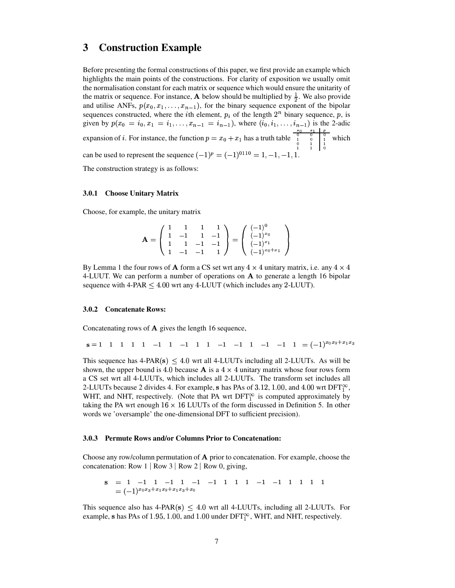# **3 Construction Example**

Before presenting the formal constructions of this paper, we first provide an example which highlights the main points of the constructions. For clarity of exposition we usually omit the normalisation constant for each matrix or sequence which would ensure the unitarity of the matrix or sequence. For instance, **A** below should be multiplied by  $\frac{1}{2}$ . We also provide and utilise ANFs,  $p(x_0, x_1, \ldots, x_{n-1})$ , for the binary sequence exponent of the bipolar sequences constructed, where the *i*th element,  $p_i$  of the length  $2^n$  binary sequence, p, is given by  $p(x_0 = i_0, x_1 = i_1, \ldots, x_{n-1} = i_{n-1})$ , where  $(i_0, i_1, \ldots, i_{n-1})$  is the 2-adic expansion of *i*. For instance, the function  $p = x_0 + x_1$  has a truth table  $\begin{bmatrix} 0 & 0 & 0 \\ 0 & 1 & 0 \\ 0 & 1 & 1 \end{bmatrix}$  which can be used to represent the sequence  $(-1)^p = (-1)^{0110} = 1, -1, -1, 1$ . which  $\blacksquare$ 

The construction strategy is as follows:

#### **3.0.1 Choose Unitary Matrix**

Choose, for example, the unitary matrix

$$
\mathbf{A} = \left( \begin{array}{rrr} 1 & 1 & 1 & 1 \\ 1 & -1 & 1 & -1 \\ 1 & 1 & -1 & -1 \\ 1 & -1 & -1 & 1 \end{array} \right) = \left( \begin{array}{c} (-1)^0 \\ (-1)^{x_0} \\ (-1)^{x_1} \\ (-1)^{x_0 + x_1} \end{array} \right)
$$

By Lemma 1 the four rows of **A** form a CS set wrt any  $4 \times 4$  unitary matrix, i.e. any  $4 \times 4$ 4-LUUT. We can perform a number of operations on  $\bf{A}$  to generate a length 16 bipolar sequence with  $4-PAR \leq 4.00$  wrt any  $4-LUUT$  (which includes any 2-LUUT).

#### **3.0.2 Concatenate Rows:**

Concatenating rows of  $\bf{A}$  gives the length 16 sequence,

 $s = 1 \quad 1 \quad 1 \quad 1 \quad 1 \quad -1 \quad 1 \quad -1 \quad 1 \quad 1 \quad -1 \quad -1 \quad 1 \quad -1 \quad 1 \quad -1 \quad 1 \quad = (-1)^{x_0 x_2 + x_1 x_3}$ 

This sequence has  $4-PAR(s) < 4.0$  wrt all 4-LUUTs including all 2-LUUTs. As will be shown, the upper bound is 4.0 because **A** is a  $4 \times 4$  unitary matrix whose four rows form a CS set wrt all 4-LUUTs, which includes all 2-LUUTs. The transform set includes all 2-LUUTs because 2 divides 4. For example, s has PAs of 3.12, 1.00, and 4.00 wrt DFT $_{1}^{\infty}$ , WHT, and NHT, respectively. (Note that PA wrt  $\text{DFT}_1^{\infty}$  is computed approximately by taking the PA wrt enough  $16 \times 16$  LUUTs of the form discussed in Definition 5. In other words we 'oversample' the one-dimensional DFT to sufficient precision).

#### **3.0.3 Permute Rows and/or Columns Prior to Concatenation:**

Choose any row/column permutation of  $\bf{A}$  prior to concatenation. For example, choose the concatenation: Row  $1 | Row 3 | Row 2 | Row 0, giving,$ 

$$
\mathbf{s} = 1 -1 1 -1 1 -1 -1 -1 1 1 1 -1 -1 1 1 1 1
$$
  
=  $(-1)^{x_0 x_3 + x_1 x_2 + x_1 x_3 + x_0}$ 

This sequence also has  $4-PAR(s) \leq 4.0$  wrt all 4-LUUTs, including all 2-LUUTs. For example, s has PAs of 1.95, 1.00, and 1.00 under  $\text{DFT}_1^{\infty}$ , WHT, and NHT, respectively.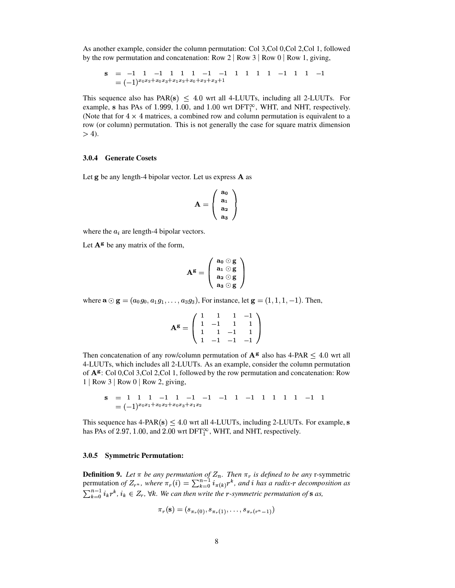As another example, consider the column permutation: Col 3, Col 0, Col 2, Col 1, followed by the row permutation and concatenation: Row  $2 | Row 3 | Row 0 | Row 1, giving,$ 

$$
\mathbf{s} = -1 \quad 1 \quad -1 \quad 1 \quad 1 \quad 1 \quad -1 \quad -1 \quad 1 \quad 1 \quad 1 \quad 1 \quad -1 \quad -1 \quad 1 \quad 1 \quad 1 \quad -1 \quad 1 \quad -1
$$
\n
$$
= (-1)^{x_0 x_2 + x_0 x_3 + x_1 x_2 + x_0 + x_2 + x_3 + 1}
$$

This sequence also has  $PAR(s) \leq 4.0$  wrt all 4-LUUTs, including all 2-LUUTs. For example, s has PAs of 1.999, 1.00, and 1.00 wrt DFT $_{1}^{\infty}$ , WHT, and NHT, respectively. (Note that for  $4 \times 4$  matrices, a combined row and column permutation is equivalent to a row (or column) permutation. This is not generally the case for square matrix dimension  $>$  4).

#### **3.0.4 Generate Cosets**

Let  $g$  be any length-4 bipolar vector. Let us express  $\bf{A}$  as

$$
\mathbf{A} = \left(\begin{array}{c} \mathbf{a}_0 \\ \mathbf{a}_1 \\ \mathbf{a}_2 \\ \mathbf{a}_3 \end{array}\right)
$$

where the  $a_i$  are length-4 bipolar vectors.

Let  $A^g$  be any matrix of the form,

$$
\mathbf{A}^{\mathbf{g}} = \left( \begin{array}{c} \mathbf{a}_0 \odot \mathbf{g} \\ \mathbf{a}_1 \odot \mathbf{g} \\ \mathbf{a}_2 \odot \mathbf{g} \\ \mathbf{a}_3 \odot \mathbf{g} \end{array} \right)
$$

where  $\mathbf{a} \odot \mathbf{g} = (a_0 g_0, a_1 g_1, \ldots, a_3 g_3)$ , For instance, let  $\mathbf{g} = (1, 1, 1, -1)$ . Then,

$$
\mathbf{A}^{\mathbf{g}} = \left( \begin{array}{rrrr} 1 & 1 & 1 & -1 \\ 1 & -1 & 1 & 1 \\ 1 & 1 & -1 & 1 \\ 1 & -1 & -1 & -1 \end{array} \right)
$$

Then concatenation of any row/column permutation of  ${\bf A}^{\bf g}$  also has 4-PAR  $< 4.0$  wrt all 4-LUUTs, which includes all 2-LUUTs. As an example, consider the column permutation of  $A<sup>g</sup>$ : Col 0,Col 3,Col 2,Col 1, followed by the row permutation and concatenation: Row 1 Row 3 Row 0 Row 2, giving,

$$
\mathbf{s} = 1 \quad 1 \quad 1 \quad -1 \quad 1 \quad -1 \quad -1 \quad -1 \quad 1 \quad -1 \quad 1 \quad 1 \quad 1 \quad 1 \quad -1 \quad 1
$$
\n
$$
= (-1)^{x_0 x_1 + x_0 x_2 + x_0 x_3 + x_1 x_2}
$$

This sequence has  $4-PAR(s) \leq 4.0$  wrt all  $4-LUUTs$ , including 2-LUUTs. For example, s has PAs of 2.97, 1.00, and 2.00 wrt DFT $_1^\infty$ , WHT, and NHT, respectively.

#### **3.0.5 Symmetric Permutation:**

**Definition 9.** Let  $\pi$  be any permutation of  $Z_n$ . Then  $\pi_r$  is defined to be any r-symmetric permutation *of*  $Z_{r^n}$ , where  $\pi_r(i) = \sum_{k=0}^{n-1} i_{\pi(k)} r^k$ , and *i* has a radix-r decomposition as  $\sum_{k=0}^{n-1} i_k r^k$ ,  $i_k \in Z_r$ ,  $\forall k$ . We can then write the r-symmetric permutation of **s** as,

$$
\pi_r(\mathbf{s}) = (s_{\pi_r(0)}, s_{\pi_r(1)}, \ldots, s_{\pi_r(r^n-1)})
$$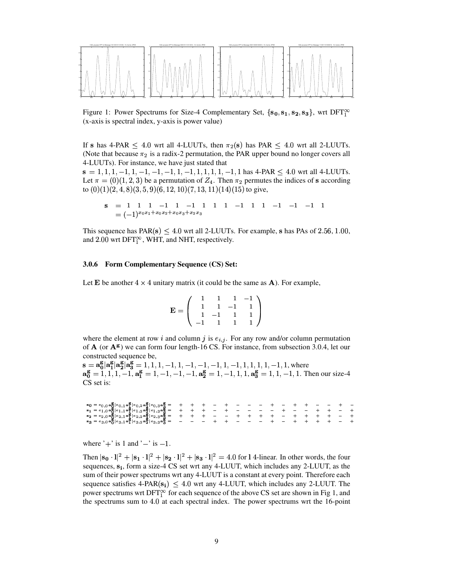

Figure 1: Power Spectrums for Size-4 Complementary Set,  $\{s_0, s_1, s_2, s_3\}$ , wrt DFT<sup>o</sup> (x-axis is spectral index, y-axis is power value)

If s has 4-PAR  $\leq$  4.0 wrt all 4-LUUTs, then  $\pi_2(s)$  has PAR  $\leq$  4.0 wrt all 2-LUUTs. (Note that because  $\pi_2$  is a radix-2 permutation, the PAR upper bound no longer covers all 4-LUUTs). For instance, we have just stated that

 $s = 1, 1, 1, -1, 1, -1, -1, -1, 1, -1, 1, 1, 1, 1, -1, 1$  has 4-PAR  $\leq 4.0$  wrt all 4-LUUTs. Let  $\pi = (0)(1, 2, 3)$  be a permutation of  $Z_4$ . Then  $\pi_2$  permutes the indices of s according to  $(0)(1)(2, 4, 8)(3, 5, 9)(6, 12, 10)(7, 13, 11)(14)(15)$  to give,

$$
\mathbf{s} = 1 \quad 1 \quad 1 \quad -1 \quad 1 \quad -1 \quad 1 \quad 1 \quad 1 \quad -1 \quad 1 \quad 1 \quad -1 \quad -1 \quad -1 \quad -1 \quad 1
$$
  
=  $(-1)^{x_0 x_1 + x_0 x_2 + x_0 x_3 + x_2 x_3}$ 

This sequence has  $PAR(s) \leq 4.0$  wrt all 2-LUUTs. For example, s has PAs of 2.56, 1.00, and 2.00 wrt DFT $_1^\infty$ , WHT, and NHT, respectively.

#### 3.0.6 Form Complementary Sequence (CS) Set:

Let E be another  $4 \times 4$  unitary matrix (it could be the same as **A**). For example,

$$
\mathbf{E} = \left( \begin{array}{rrrr} 1 & 1 & 1 & -1 \\ 1 & 1 & -1 & 1 \\ 1 & -1 & 1 & 1 \\ -1 & 1 & 1 & 1 \end{array} \right)
$$

where the element at row *i* and column *j* is  $e_{i,j}$ . For any row and/or column permutation of  $A$  (or  $A^g$ ) we can form four length-16 CS. For instance, from subsection 3.0.4, let our constructed sequence be,

 $\mathbf{s} = \mathbf{a_0}^g | \mathbf{a_1}^g | \mathbf{a_2}^g | \mathbf{a_3}^g = 1, 1, 1, -1, 1, -1, -1, -1, -1, 1, 1, 1, 1, 1, -1, 1$ , where<br> $\mathbf{a_0}^g = 1, 1, 1, -1, \mathbf{a_1}^g = 1, -1, -1, -1, \mathbf{a_2}^g = 1, -1, 1, 1, \mathbf{a_3}^g = 1, 1, -1, 1$ . Then our size-4 CS set is:

where  $'+$  is 1 and  $'-$  is  $-1$ .

Then  $|\mathbf{s_0} \cdot \mathbf{l}|^2 + |\mathbf{s_1} \cdot \mathbf{l}|^2 + |\mathbf{s_2} \cdot \mathbf{l}|^2 + |\mathbf{s_3} \cdot \mathbf{l}|^2 = 4.0$  for 14-linear. In other words, the four sequences,  $s_i$ , form a size-4 CS set wrt any 4-LUUT, which includes any 2-LUUT, as the sum of their power spectrums wrt any 4-LUUT is a constant at every point. Therefore each sequence satisfies  $4-PAR(s_i) < 4.0$  wrt any  $4-LUUT$ , which includes any 2-LUUT. The power spectrums wrt DFT $^{\infty}_{1}$  for each sequence of the above CS set are shown in Fig 1, and the spectrums sum to 4.0 at each spectral index. The power spectrums wrt the 16-point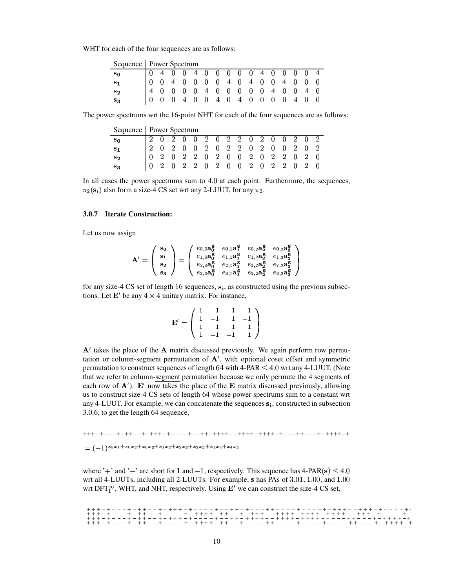WHT for each of the four sequences are as follows:

| Sequence   Power Spectrum |  |  |  |  |  |  |  |                                                                                                                                                                                                          |
|---------------------------|--|--|--|--|--|--|--|----------------------------------------------------------------------------------------------------------------------------------------------------------------------------------------------------------|
| $\mathbf{s_0}$            |  |  |  |  |  |  |  |                                                                                                                                                                                                          |
| $\mathbf{s}_1$            |  |  |  |  |  |  |  |                                                                                                                                                                                                          |
| $\mathbf{s}_2$            |  |  |  |  |  |  |  |                                                                                                                                                                                                          |
| $S_3$                     |  |  |  |  |  |  |  | $\begin{array}{ ccccccccccccccccccc }\hline 0&4&0&0&4&0&0&0&0&0&4&0&0&0&0&4 \\ \hline 0&0&4&0&0&0&0&4&0&4&0&0&4&0&0&0 \\ 4&0&0&0&0&4&0&0&0&0&0&4&0&0&4&0 \\ 0&0&0&4&0&0&4&0&4&0&0&0&0&4&0&0 \end{array}$ |

The power spectrums wrt the 16-point NHT for each of the four sequences are as follows:

| Sequence   Power Spectrum |  |  |  |  |  |  |  |                                                                                                                                                                                 |  |
|---------------------------|--|--|--|--|--|--|--|---------------------------------------------------------------------------------------------------------------------------------------------------------------------------------|--|
| $\mathbf{s_{0}}$          |  |  |  |  |  |  |  |                                                                                                                                                                                 |  |
| $\mathbf{s}_1$            |  |  |  |  |  |  |  |                                                                                                                                                                                 |  |
| $\mathbf{s_{2}}$          |  |  |  |  |  |  |  |                                                                                                                                                                                 |  |
| $\mathbf{S}_{3}$          |  |  |  |  |  |  |  | $\begin{array}{cccccccccccc} 2&0&2&0&0&2&0&2&2&0&2&0&0&2&0&2\\ 2&0&2&0&0&2&0&2&2&0&2&0&0&2&0&2\\ 0&2&0&2&2&0&2&0&0&2&0&2&2&0&2&0\\ 0&2&0&2&2&0&2&0&0&2&0&2&2&0&2&0 \end{array}$ |  |

In all cases the power spectrums sum to  $4.0$  at each point. Furthermore, the sequences,  $\pi_2(s_i)$  also form a size-4 CS set wrt any 2-LUUT, for any  $\pi_2$ .

### 3.0.7 Iterate Construction:

Let us now assign

$$
\mathbf{A'} = \left(\begin{array}{c} \mathbf{s}_0 \\ \mathbf{s}_1 \\ \mathbf{s}_2 \\ \mathbf{s}_3 \end{array}\right) = \left(\begin{array}{ccc} e_{0,0}\mathbf{a}_0^{\mathbf{g}} & e_{0,1}\mathbf{a}_1^{\mathbf{g}} & e_{0,2}\mathbf{a}_2^{\mathbf{g}} & e_{0,3}\mathbf{a}_3^{\mathbf{g}} \\ e_{1,0}\mathbf{a}_0^{\mathbf{g}} & e_{1,1}\mathbf{a}_1^{\mathbf{g}} & e_{1,2}\mathbf{a}_2^{\mathbf{g}} & e_{1,3}\mathbf{a}_3^{\mathbf{g}} \\ e_{2,0}\mathbf{a}_0^{\mathbf{g}} & e_{2,1}\mathbf{a}_1^{\mathbf{g}} & e_{2,2}\mathbf{a}_2^{\mathbf{g}} & e_{2,3}\mathbf{a}_3^{\mathbf{g}} \\ e_{3,0}\mathbf{a}_0^{\mathbf{g}} & e_{3,1}\mathbf{a}_1^{\mathbf{g}} & e_{3,2}\mathbf{a}_2^{\mathbf{g}} & e_{3,3}\mathbf{a}_3^{\mathbf{g}} \end{array}\right)
$$

for any size-4 CS set of length 16 sequences,  $s_i$ , as constructed using the previous subsections. Let  $\mathbf{E}'$  be any  $4 \times 4$  unitary matrix. For instance,

$$
\mathbf{E}' = \left( \begin{array}{rrrr} 1 & 1 & -1 & -1 \\ 1 & -1 & 1 & -1 \\ 1 & 1 & 1 & 1 \\ 1 & -1 & -1 & 1 \end{array} \right)
$$

 $A'$  takes the place of the  $A$  matrix discussed previously. We again perform row permutation or column-segment permutation of  $A'$ , with optional coset offset and symmetric permutation to construct sequences of length  $64$  with  $4-PAR \leq 4.0$  wrt any  $4-LUUT$ . (Note that we refer to column-segment permutation because we only permute the 4 segments of each row of  $\mathbf{A}'$ ). E' now takes the place of the E matrix discussed previously, allowing us to construct size-4 CS sets of length 64 whose power spectrums sum to a constant wrt any 4-LUUT. For example, we can concatenate the sequences  $s_i$ , constructed in subsection 3.0.6, to get the length 64 sequence,

 $= (-1)^{x_0x_1+x_0x_2+x_0x_3+x_1x_2+x_2x_3+x_2x_5+x_3x_4+x_4x_5}$ 

where '+' and '-' are short for 1 and -1, respectively. This sequence has  $4-PAR(s) \leq 4.0$ wrt all 4-LUUTs, including all 2-LUUTs. For example, s has PAs of 3.01, 1.00, and 1.00 wrt DFT<sup> $\infty$ </sup>, WHT, and NHT, respectively. Using  $E'$  we can construct the size-4 CS set,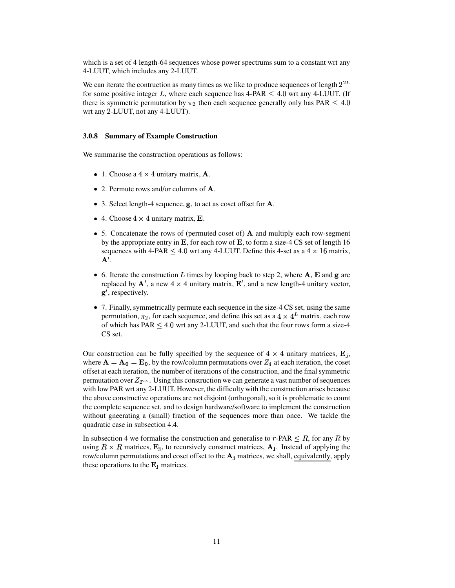which is a set of 4 length-64 sequences whose power spectrums sum to a constant wrt any 4-LUUT, which includes any 2-LUUT.

We can iterate the contruction as many times as we like to produce sequences of length  $2^{2L}$ for some positive integer L, where each sequence has  $4\text{-PAR} \leq 4.0$  wrt any  $4\text{-LUUT}$ . (If there is symmetric permutation by  $\pi_2$  then each sequence generally only has PAR  $\leq 4.0$ wrt any 2-LUUT, not any 4-LUUT).

## **3.0.8 Summary of Example Construction**

We summarise the construction operations as follows:

- 1. Choose a  $4 \times 4$  unitary matrix, **A**.
- 2. Permute rows and/or columns of  $\bf{A}$ .
- 3. Select length-4 sequence,  $\bf{g}$ , to act as coset offset for  $\bf{A}$ .
- 4. Choose  $4 \times 4$  unitary matrix, **E**.
- 5. Concatenate the rows of (permuted coset of)  $\bf{A}$  and multiply each row-segment by the appropriate entry in  $\bf E$ , for each row of  $\bf E$ , to form a size-4 CS set of length 16 sequences with 4-PAR  $\leq 4.0$  wrt any 4-LUUT. Define this 4-set as a  $4 \times 16$  matrix,  ${\bf A}^{\prime}$ .
- 6. Iterate the construction L times by looping back to step 2, where  $\bf{A}$ ,  $\bf{E}$  and  $\bf{g}$  are replaced by  $\mathbf{A}'$ , a new  $4 \times 4$  unitary matrix,  $\mathbf{E}'$ , and a new length-4 unitary vector, **g**', respectively.
- 7. Finally, symmetrically permute each sequence in the size-4 CS set, using the same permutation,  $\pi_2$ , for each sequence, and define this set as a  $4 \times 4^L$  matrix, each row of which has PAR  $\leq 4.0$  wrt any 2-LUUT, and such that the four rows form a size-4 CS set.

Our construction can be fully specified by the sequence of  $4 \times 4$  unitary matrices,  $\mathbf{E}_1$ , where  ${\bf A}={\bf A_{0}}={\bf E_{0}}$ , by the row/column permutations over  $Z_{4}$  at each iteration, the coset offset at each iteration, the number of iterations of the construction, and the final symmetric permutation over  $Z_{2^{2L}}$ . Using this construction we can generate a vast number of sequences with low PAR wrt any 2-LUUT. However, the difficulty with the construction arises because the above constructive operations are not disjoint (orthogonal), so it is problematic to count the complete sequence set, and to design hardware/software to implement the construction without gneerating a (small) fraction of the sequences more than once. We tackle the quadratic case in subsection 4.4.

In subsection 4 we formalise the construction and generalise to r-PAR  $\leq R$ , for any R by using  $R \times R$  matrices,  $\mathbf{E}_j$ , to recursively construct matrices,  $\mathbf{A}_j$ . Instead of applying the row/column permutations and coset offset to the  $A_i$  matrices, we shall, equivalently, apply these operations to the  $\mathbf{E}_j$  matrices.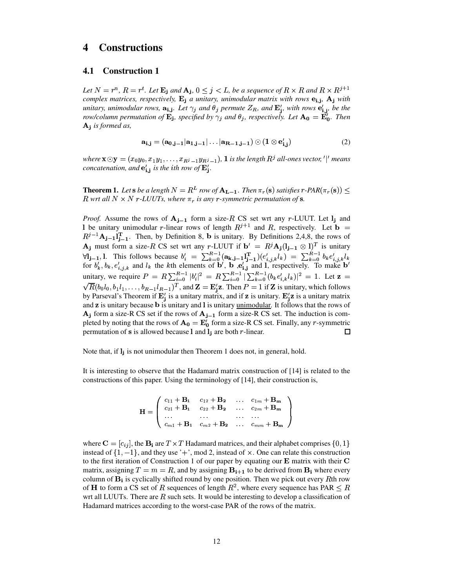# **4 Constructions**

## **4.1 Construction 1**

Let  $N = r^n$ ,  $R = r^t$ . Let  $\mathbf{E}_i$  and  $\mathbf{A}_i$ ,  $0 \leq j < L$ , be a sequence of  $R \times R$  and  $R \times R^{j+1}$ *complex matrices, respectively,*  $\mathbf{E}_j$  *a unitary, unimodular matrix with rows*  $\mathbf{e}_{i,j}$ ,  $\mathbf{A}_j$  *with*  $u_n$  *unitary, unimodular rows,*  $\mathbf{a}_{i,j}$ *. Let*  $\gamma_j$  *and*  $\theta_j$  *permute*  $Z_R$ *, and*  $\mathbf{E}'_i$ *, with rows*  $\mathbf{e}'_i$ *; be the row/column permutation of*  $\mathbf{E}_i$ , *specified by*  $\gamma_i$  *and*  $\theta_j$ , *respectively.* Let  $\mathbf{A}_0 = \mathbf{E}_0^r$ . Then ¦ *is formed as,*

$$
\mathbf{a}_{i,j} = (\mathbf{a}_{0,j-1}|\mathbf{a}_{1,j-1}|\dots|\mathbf{a}_{R-1,j-1}) \odot (1 \otimes \mathbf{e}'_{i,i})
$$
(2)

where  $\mathbf{x} \odot \mathbf{y} = (x_0y_0, x_1y_1, \ldots, x_{R^j-1}y_{R^j-1}),$  1 is the length  $R^j$  all-ones vector, '|' means *concatenation, and*  $e'_i$ , *is the ith row of*  $E'_i$ .

**Theorem 1.** Let  $s$  be a length  $N = R^L$  row of  $A_{L-1}$ . Then  $\pi_r(s)$  satisfies  $r$ -PAR $(\pi_r(s)) \leq$ R wrt all  $N \times N$  r-LUUTs, where  $\pi_r$  is any r-symmetric permutation of **s**.

*Proof.* Assume the rows of  $A_{j-1}$  form a size-R CS set wrt any r-LUUT. Let  $I_j$  and l be unitary unimodular r-linear rows of length  $R^{j+1}$  and R, respectively. Let  $\mathbf{b} =$  $R^{j-1}A_{i-1}I_{i-1}^{T}$ . Then, by Definition 8, **b** is unitary. By Definitions 2,4,8, the rows of  $\mathbf{A}_j$  must form a size-R CS set wrt any r-LUUT if  $\mathbf{b}' = R^j \mathbf{A}_j (\mathbf{l}_{j-1} \otimes \mathbf{l})^T$  is unitary  $F_i = \sum_{k=0}^{R-1} (\mathbf{a_{k,j-1}})^T_{j-1} (e'_{i,j,k} l_k)$  $\forall i_{j-1}, 1$ . This follows because  $b'_i = \sum$  $E_{i,i,k}^{(k)} = \sum_{k=0}^{n-1} b_k e_{i,i,k}^{(k)}$  $V_{i,j-1}$ , i. This follows because  $v_i = \sum_{k=0}^{\infty} (a_{k,j-1}t_{j-1})(e_{i,j,k}t_k) = \sum_{k=0}^{\infty} v_k e_{i,j,k}t_k$ <br>for  $b'_k, b_k, e'_{i,j,k}$  and  $l_k$  the kth elements of  $b'$ ,  $b$  , $e'_{i,j}$  and 1, respectively. To make  $b'$  $f_{i, j, k}$  and  $l_k$  the kth elements of b', b,  $e_i'$ ; and l, respectively. To make b'  $i, v_k, e_{i,j,k}$  and unitary, we require  $P = R \sum_{i=0}^{R-1} |b_i'|^2 = R$ unitary, we require  $P = R \sum_{i=0}^{R-1} |b'_i|^2 = R \sum_{i=0}^{R-1} |\sum_{k=0}^{R-1} (b_k e'_{i,k} l_k)|^2 = 1$ . Let  $\mathbf{z} =$  $E^2 = R \sum_{n=0}^{R-1} |\sum_{k=0}^{R-1} (b_k e'_k, l_k)|^2$  $\overline{\phantom{a}}$  .  $\overline{\phantom{a}}$  $R(b_0l_0, b_1l_1, \ldots, b_{R-1}l_{R-1})^T$ , and  $\mathbf{Z} = \mathbf{E}_j' \mathbf{z}$ . Then  $P = 1$  if  $\mathbf{Z}$  is unitary, which follows by Parseval's Theorem if  $\mathbf{E}'_i$  is a unitary matrix, and if  $\mathbf{z}$  is unitary.  $\mathbf{E}'_i\mathbf{z}$  is a unitary matrix and  $z$  is unitary because  $b$  is unitary and  $l$  is unitary unimodular. It follows that the rows of  $A_j$  form a size-R CS set if the rows of  $A_{j-1}$  form a size-R CS set. The induction is completed by noting that the rows of  ${\bf A_0} = {\bf E_0'}$  form a size-R CS set. Finally, any r-symmetric permutation of s is allowed because  $l$  and  $l_j$  are both r-linear. 口

Note that, if  $\mathbf{l}_j$  is not unimodular then Theorem 1 does not, in general, hold.

It is interesting to observe that the Hadamard matrix construction of [14] is related to the constructions of this paper. Using the terminology of [14], their construction is,

$$
\mathbf{H} = \left( \begin{array}{cccc} c_{11} + \mathbf{B}_{1} & c_{12} + \mathbf{B}_{2} & \dots & c_{1m} + \mathbf{B}_{m} \\ c_{21} + \mathbf{B}_{1} & c_{22} + \mathbf{B}_{2} & \dots & c_{2m} + \mathbf{B}_{m} \\ \dots & \dots & \dots & \dots \\ c_{m1} + \mathbf{B}_{1} & c_{m2} + \mathbf{B}_{2} & \dots & c_{mm} + \mathbf{B}_{m} \end{array} \right)
$$

where  $\mathbf{C} = [c_{ij}]$ , the  $\mathbf{B_i}$  are  $T \times T$  Hadamard matrices, and their alphabet comprises  $\{0,1\}$ instead of  $\{1,-1\}$ , and they use '+', mod 2, instead of x. One can relate this construction to the first iteration of Construction 1 of our paper by equating our  $\bf E$  matrix with their  $\bf C$ matrix, assigning  $T = m = R$ , and by assigning  $\mathbf{B}_{i+1}$  to be derived from  $\mathbf{B}_i$  where every column of  $B_i$  is cyclically shifted round by one position. Then we pick out every Rth row of **H** to form a CS set of R sequences of length  $R^2$ , where every sequence has PAR  $\leq R$ wrt all LUUTs. There are  $R$  such sets. It would be interesting to develop a classification of Hadamard matrices according to the worst-case PAR of the rows of the matrix.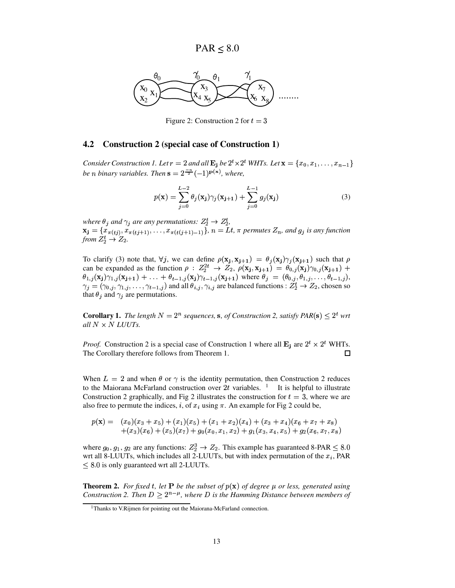

Figure 2: Construction 2 for  $t = 3$ 

## **4.2 Construction 2 (special case of Construction 1)**

*Consider* Construction 1. Let  $r = 2$  and all  $\mathbf{E_j}$  be  $2^t \times 2^t$  WHTs. Let  $\mathbf{x} = \{x_0, x_1, \ldots, x_{n-1}\}$ *be n* binary variables. Then  $\mathbf{s} = 2^{\frac{-n}{2}}(-1)^{\mathbf{p}(\mathbf{x})}$ , where,

$$
p(\mathbf{x}) = \sum_{j=0}^{L-2} \theta_j(\mathbf{x_j}) \gamma_j(\mathbf{x_{j+1}}) + \sum_{j=0}^{L-1} g_j(\mathbf{x_j})
$$
(3)

*where*  $\theta_j$  *and*  $\gamma_j$  *are any permutations:*  $Z_2^t \rightarrow Z_2^t$ ,  $\mathbf{x_j} = \{x_{\pi(tj)}, x_{\pi(tj+1)}, \dots, x_{\pi(t(j+1)-1)}\}, n = \mathbf{L}t, \pi \text{ permutes } Z_n \text{, and } g_j \text{ is any function}$ from  $Z_2^t \rightarrow Z_2$ .

To clarify (3) note that,  $\forall j$ , we can define  $\rho(\mathbf{x}_i, \mathbf{x}_{i+1}) = \theta_j(\mathbf{x}_i) \gamma_j(\mathbf{x}_{i+1})$  such that  $\rho$ can be expanded as the function  $\rho: Z_2^{2t} \to Z_2$ ,  $\rho(\mathbf{x_j}, \mathbf{x_{j+1}}) = \theta_{0,j}(\mathbf{x_j}) \gamma_{0,j}(\mathbf{x_{j+1}}) +$  $\theta_{1,j}(\mathbf{x_j})\gamma_{1,j}(\mathbf{x_{j+1}})+\ldots+\theta_{t-1,j}(\mathbf{x_j})\gamma_{t-1,j}(\mathbf{x_{j+1}})$  where  $\theta_j = (\theta_{0,j},\theta_{1,j},\ldots,\theta_{t-1,j}),$  $\gamma_j = (\gamma_{0,j}, \gamma_{1,j}, \dots, \gamma_{t-1,j})$  and all  $\theta_{i,j}, \gamma_{i,j}$  are balanced functions :  $Z_2^t \to Z_2$ , chosen so that  $\theta_j$  and  $\gamma_j$  are permutations.

**Corollary 1.** The length  $N = 2^n$  sequences, **s**, of Construction 2, satisfy  $PAR(s) \leq 2^t$  wrt *all*  $N \times N$  *LUUTs.* 

*Proof.* Construction 2 is a special case of Construction 1 where all  $\mathbf{E}_j$  are  $2^t \times 2^t$  WHTs. The Corollary therefore follows from Theorem 1. □

When  $L = 2$  and when  $\theta$  or  $\gamma$  is the identity permutation, then Construction 2 reduces to the Maiorana McFarland construction over 2t variables. <sup>1</sup> It is helpful to illustrate Construction 2 graphically, and Fig 2 illustrates the construction for  $t = 3$ , where we are also free to permute the indices, *i*, of  $x_i$  using  $\pi$ . An example for Fig 2 could be,

$$
p(\mathbf{x}) = (x_0)(x_3 + x_5) + (x_1)(x_5) + (x_1 + x_2)(x_4) + (x_3 + x_4)(x_6 + x_7 + x_8) + (x_3)(x_6) + (x_5)(x_7) + g_0(x_0, x_1, x_2) + g_1(x_3, x_4, x_5) + g_2(x_6, x_7, x_8)
$$

where  $g_0, g_1, g_2$  are any functions:  $Z_2^3 \rightarrow Z_2$ . This example has guaranteed 8-PAR  $\leq 8.0$ wrt all 8-LUUTs, which includes all 2-LUUTs, but with index permutation of the  $x_i$ , PAR  $\leq$  8.0 is only guaranteed wrt all 2-LUUTs.

**Theorem 2.** For fixed t, let **P** be the subset of  $p(x)$  of degree  $\mu$  or less, generated using *Construction* 2. *Then*  $D > 2^{n-\mu}$ *, where D* is the Hamming Distance between members of

<sup>&</sup>lt;sup>1</sup>Thanks to V.Rijmen for pointing out the Maiorana-McFarland connection.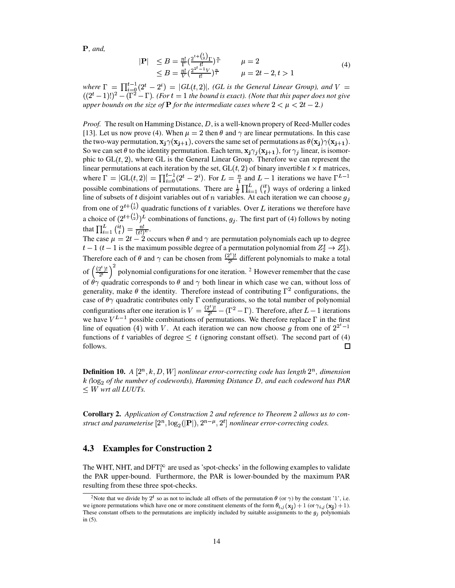**, and,** 

$$
|\mathbf{P}| \leq B = \frac{n!}{\Gamma} \left( \frac{2^{t + \binom{t}{2}} \Gamma}{t!} \right)^{\frac{n}{t}} \qquad \mu = 2
$$
  
 
$$
\leq B = \frac{n!}{V} \left( \frac{2^{2t - 1} V}{t!} \right)^{\frac{n}{t}} \qquad \mu = 2t - 2, t > 1
$$
 (4)

where  $\Gamma = \prod_{i=0}^{t-1} (2^t - 2^i) = |GL(t, 2)|$ , (GL is the General Linear Group), and  $V = ((2^t - 1)!)^2 - (\Gamma^2 - \Gamma)$ . (For  $t = 1$  the bound is exact). (Note that this paper does not give upper bounds on the size of **P** for the intermediate cases where  $2 < \mu < 2t - 2$ .)

*Proof.* The result on Hamming Distance,  $D$ , is a well-known propery of Reed-Muller codes [13]. Let us now prove (4). When  $\mu = 2$  then  $\theta$  and  $\gamma$  are linear permutations. In this case the two-way permutation,  $\mathbf{x}_j \gamma(\mathbf{x}_{j+1})$ , covers the same set of permutations as  $\theta(\mathbf{x}_j) \gamma(\mathbf{x}_{j+1})$ . So we can set  $\theta$  to the identity permutation. Each term,  $\mathbf{x}_i \gamma_i(\mathbf{x}_{i+1})$ , for  $\gamma_i$  linear, is isomorphic to  $GL(t, 2)$ , where GL is the General Linear Group. Therefore we can represent the linear permutations at each iteration by the set,  $GL(t, 2)$  of binary invertible  $t \times t$  matrices, where  $\Gamma = |GL(t, 2)| = \prod_{i=0}^{t-1} (2^t - 2^i)$ . For  $L = \frac{n}{t}$  and  $L - 1$  iterations we have  $\Gamma^{L-1}$ possible combinations of permutations. There are  $\frac{1}{2} \prod_{i=1}^{L} {it \choose t}$  ways of ordering a linked line of subsets of t disjoint variables out of n variables. At each iteration we can choose  $g_j$ from one of  $2^{t+(\frac{t}{2})}$  quadratic functions of t variables. Over L iterations we therefore have a choice of  $(2^{t+\binom{t}{2}})^L$  combinations of functions,  $g_j$ . The first part of (4) follows by noting that  $\prod_{i=1}^{L} {it \choose t} = \frac{n!}{(t!)^L}$ .<br>The case  $\mu = 2t - 2$  occurs when  $\theta$  and  $\gamma$  are permutation polynomials each up to degree  $t-1$  ( $t-1$  is the maximum possible degree of a permutation polynomial from  $Z_2^t \rightarrow Z_2^t$ ). Therefore each of  $\theta$  and  $\gamma$  can be chosen from  $\frac{2^i}{2^i}$  different polynomials to make a total of  $\left(\frac{(2^t)!}{2^t}\right)^2$  polynomial configurations for one iteration. <sup>2</sup> However remember that the case of  $\theta\gamma$  quadratic corresponds to  $\theta$  and  $\gamma$  both linear in which case we can, without loss of

generality, make  $\theta$  the identity. Therefore instead of contributing  $\Gamma^2$  configurations, the case of  $\theta\gamma$  quadratic contributes only  $\Gamma$  configurations, so the total number of polynomial configurations after one iteration is  $V = \frac{(2^t)!}{2^t} - (\Gamma^2 - \Gamma)$ . Therefore, after  $L-1$  iterations we have  $V^{L-1}$  possible combinations of permutations. We therefore replace  $\Gamma$  in the first line of equation (4) with V. At each iteration we can now choose g from one of  $2^{2^t-1}$ functions of t variables of degree  $\leq t$  (ignoring constant offset). The second part of (4)  $\Box$ follows.

**Definition 10.** A  $[2^n, k, D, W]$  nonlinear error-correcting code has length  $2^n$ , dimension  $k$  (log<sub>2</sub> of the number of codewords), Hamming Distance D, and each codeword has PAR  $\leq W$  wrt all LUUTs.

Corollary 2. Application of Construction 2 and reference to Theorem 2 allows us to construct and parameterise  $[2^n, \log_2(|\mathbf{P}|), 2^{n-\mu}, 2^t]$  nonlinear error-correcting codes.

#### 4.3 **Examples for Construction 2**

The WHT, NHT, and DFT $_{1}^{\infty}$  are used as 'spot-checks' in the following examples to validate the PAR upper-bound. Furthermore, the PAR is lower-bounded by the maximum PAR resulting from these three spot-checks.

<sup>&</sup>lt;sup>2</sup>Note that we divide by 2<sup>*t*</sup> so as not to include all offsets of the permutation  $\theta$  (or  $\gamma$ ) by the constant '1', i.e. we ignore permutations which have one or more constituent elements of the form  $\theta_{i,j}(\mathbf{x_j}) + 1$  (or  $\gamma_{i,j}(\mathbf{x_j}) + 1$ ). These constant offsets to the permutations are implicitly included by suitable assignments to the  $g_i$  polynomials in  $(5)$ .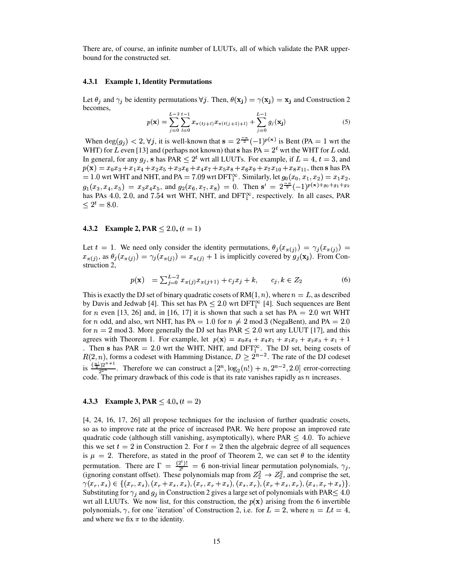There are, of course, an infinite number of LUUTs, all of which validate the PAR upperbound for the constructed set.

#### 4.3.1 Example 1, Identity Permutations

Let  $\theta_j$  and  $\gamma_j$  be identity permutations  $\forall j$ . Then,  $\theta(\mathbf{x_j}) = \gamma(\mathbf{x_j}) = \mathbf{x_j}$  and Construction 2 becomes.

$$
p(\mathbf{x}) = \sum_{j=0}^{L-2} \sum_{l=0}^{t-1} x_{\pi(tj+l)} x_{\pi(t(j+1)+l)} + \sum_{j=0}^{L-1} g_j(\mathbf{x_j})
$$
(5)

When  $\deg(g_i) < 2$ ,  $\forall j$ , it is well-known that  $s = 2^{-n/2} (-1)^{p(x)}$  is Bent (PA = 1 wrt the WHT) for L even [13] and (perhaps not known) that s has  $PA = 2^t$  wrt the WHT for L odd. In general, for any  $g_j$ , s has PAR  $\leq 2^t$  wrt all LUUTs. For example, if  $L = 4$ ,  $t = 3$ , and  $p(x) = x_0x_3 + x_1x_4 + x_2x_5 + x_3x_6 + x_4x_7 + x_5x_8 + x_6x_9 + x_7x_{10} + x_8x_{11}$ , then s has PA = 1.0 wrt WHT and NHT, and PA = 7.09 wrt DFT<sup> $\infty$ </sup>. Similarly, let  $g_0(x_0, x_1, x_2) = x_1 x_2$ ,  $g_1(x_3, x_4, x_5) = x_3x_4x_5$ , and  $g_2(x_6, x_7, x_8) = 0$ . Then  $s' = 2^{-n/2} (-1)^{p(x)+g_0+g_1+g_2}$ has PAs 4.0, 2.0, and 7.54 wrt WHT, NHT, and DFT<sup>oo</sup>, respectively. In all cases, PAR  $\leq 2^t = 8.0.$ 

#### 4.3.2 Example 2, PAR  $\leq 2.0$ ,  $(t = 1)$

Let  $t = 1$ . We need only consider the identity permutations,  $\theta_i(x_{\pi(i)}) = \gamma_i(x_{\pi(i)}) =$  $x_{\pi(j)}$ , as  $\theta_j(x_{\pi(j)}) = \gamma_j(x_{\pi(j)}) = x_{\pi(j)} + 1$  is implicitly covered by  $g_j(\mathbf{x_j})$ . From Construction 2,

$$
p(\mathbf{x}) = \sum_{j=0}^{L-2} x_{\pi(j)} x_{\pi(j+1)} + c_j x_j + k, \qquad c_j, k \in Z_2
$$
 (6)

This is exactly the DJ set of binary quadratic cosets of RM $(1, n)$ , where  $n = L$ , as described by Davis and Jedwab [4]. This set has PA  $\leq 2.0$  wrt DFT<sup> $\alpha$ </sup> [4]. Such sequences are Bent for *n* even [13, 26] and, in [16, 17] it is shown that such a set has PA = 2.0 wrt WHT for *n* odd, and also, wrt NHT, has PA = 1.0 for  $n \neq 2$  mod 3 (NegaBent), and PA = 2.0 for  $n = 2$  mod 3. More generally the DJ set has PAR  $\leq 2.0$  wrt any LUUT [17], and this agrees with Theorem 1. For example, let  $p(x) = x_0x_4 + x_4x_1 + x_1x_2 + x_2x_3 + x_1 + 1$ Then s has PAR = 2.0 wrt the WHT, NHT, and DFT<sup> $\infty$ </sup>. The DJ set, being cosets of  $R(2, n)$ , forms a codeset with Hamming Distance,  $D \ge 2^{n-2}$ . The rate of the DJ codeset is  $\frac{\frac{n!}{2}2^{n+1}}{2^{2n}}$ . Therefore we can construct a  $[2^n, \log_2(n!) + n, 2^{n-2}, 2.0]$  error-correcting code. The primary drawback of this code is that its rate vanishes rapidly as  $n$  increases.

#### 4.3.3 Example 3, PAR  $\leq 4.0$ ,  $(t = 2)$

[4, 24, 16, 17, 26] all propose techniques for the inclusion of further quadratic cosets, so as to improve rate at the price of increased PAR. We here propose an improved rate quadratic code (although still vanishing, asymptotically), where  $PAR < 4.0$ . To achieve this we set  $t = 2$  in Construction 2. For  $t = 2$  then the algebraic degree of all sequences is  $\mu = 2$ . Therefore, as stated in the proof of Theorem 2, we can set  $\theta$  to the identity permutation. There are  $\Gamma = \frac{(2^t)!}{2^t} = 6$  non-trivial linear permutation polynomials,  $\gamma_j$ , (ignoring constant offset). These polynomials map from  $Z_2^2 \rightarrow Z_2^2$ , and comprise the set,  $\gamma(x_r, x_s) \in \{(x_r, x_s), (x_r + x_s, x_s), (x_r, x_r + x_s), (x_s, x_r), (x_r + x_s, x_r), (x_s, x_r + x_s)\}.$ Substituting for  $\gamma_j$  and  $g_j$  in Construction 2 gives a large set of polynomials with PAR  $\leq 4.0$ wrt all LUUTs. We now list, for this construction, the  $p(x)$  arising from the 6 invertible polynomials,  $\gamma$ , for one 'iteration' of Construction 2, i.e. for  $L = 2$ , where  $n = Lt = 4$ , and where we fix  $\pi$  to the identity.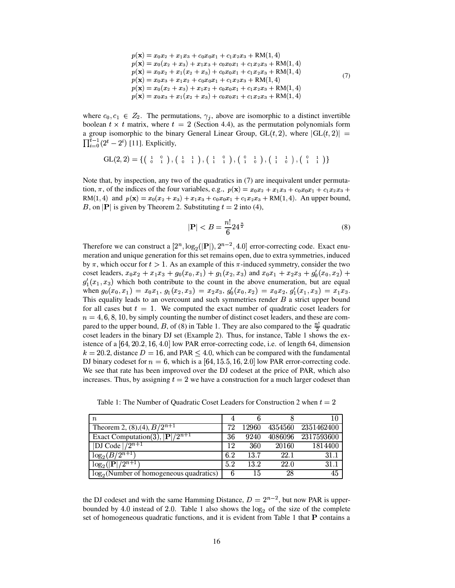$$
p(\mathbf{x}) = x_0 x_2 + x_1 x_3 + c_0 x_0 x_1 + c_1 x_2 x_3 + RM(1, 4)
$$
  
\n
$$
p(\mathbf{x}) = x_0 (x_2 + x_3) + x_1 x_3 + c_0 x_0 x_1 + c_1 x_2 x_3 + RM(1, 4)
$$
  
\n
$$
p(\mathbf{x}) = x_0 x_2 + x_1 (x_2 + x_3) + c_0 x_0 x_1 + c_1 x_2 x_3 + RM(1, 4)
$$
  
\n
$$
p(\mathbf{x}) = x_0 x_3 + x_1 x_2 + c_0 x_0 x_1 + c_1 x_2 x_3 + RM(1, 4)
$$
  
\n
$$
p(\mathbf{x}) = x_0 (x_2 + x_3) + x_1 x_2 + c_0 x_0 x_1 + c_1 x_2 x_3 + RM(1, 4)
$$
  
\n
$$
p(\mathbf{x}) = x_0 x_3 + x_1 (x_2 + x_3) + c_0 x_0 x_1 + c_1 x_2 x_3 + RM(1, 4)
$$
  
\n(7)

where  $c_0, c_1 \in Z_2$ . The permutations,  $\gamma_j$ , above are isomorphic to a distinct invertible boolean  $t \times t$  matrix, where  $t = 2$  (Section 4.4), as the permutation polynomials form a group isomorphic to the binary General Linear Group,  $GL(t, 2)$ , where  $|GL(t, 2)| =$  $\prod_{i=0}^{t-1} (2^t - 2^i)$  [11]. E  $(i)$  [11]. Explicitly,

$$
GL(2,2) = \{ \left( \begin{array}{cc} 1 & 0 \\ 0 & 1 \end{array} \right), \left( \begin{array}{cc} 1 & 1 \\ 0 & 1 \end{array} \right), \left( \begin{array}{cc} 1 & 0 \\ 1 & 1 \end{array} \right), \left( \begin{array}{cc} 0 & 1 \\ 1 & 0 \end{array} \right), \left( \begin{array}{cc} 1 & 1 \\ 1 & 0 \end{array} \right), \left( \begin{array}{cc} 0 & 1 \\ 1 & 1 \end{array} \right) \}
$$

Note that, by inspection, any two of the quadratics in (7) are inequivalent under permuta-Note that, by inspection, any two of the quadratics in (7) are inequivalent under permutation,  $\pi$ , of the indices of the four variables, e.g.,  $p(\mathbf{x}) = x_0 x_2 + x_1 x_3 + c_0 x_0 x_1 + c_1 x_2 x_3 + c_1 x_2 x_3$ tion,  $\pi$ , of the indices of the four variables, e.g.,  $p(\mathbf{x}) = x_0x_2 + x_1x_3 + c_0x_0x_1 + c_1x_2x_3 +$ <br>RM(1, 4) and  $p(\mathbf{x}) = x_0(x_2 + x_3) + x_1x_3 + c_0x_0x_1 + c_1x_2x_3 +$ RM(1, 4). An upper bound, *B*, on  $|P|$  is given by Theorem 2. Substituting  $t = 2$  into (4),

$$
|\mathbf{P}| < B = \frac{n!}{6} 24^{\frac{n}{2}} \tag{8}
$$

Therefore we can construct a  $[2^n, \log_2(|\mathbf{P}|), 2^{n-2}, 4.0]$  error-correcting code. Exact enumeration and unique generation for this set remains open, due to extra symmetries, induced by  $\pi$ , which occur for  $t > 1$ . As an example of this  $\pi$ -induced symmetry, consider the two coset leaders,  $x_0x_2 + x_1x_3 + g_0(x_0, x_1) + g_1(x_2, x_3)$  and  $x_0x_1 + x_2x_3 + g'_0(x_0, x_2) +$  $g'_1(x_1, x_3)$  which both contribute to the count in the above enumeration, but are equal when  $g_0(x_0, x_1) = x_0x_1, g_1(x_2, x_3) = x_2x_3, g'_0(x_0, x_2) = x_0x_2, g'_1(x_1, x_3) = x_1x_3.$ This equality leads to an overcount and such symmetries render  $B$  a strict upper bound for all cases but  $t = 1$ . We computed the exact number of quadratic coset leaders for  $n=4,6,8,10$ , by simply counting the number of distinct coset leaders, and these are compared to the upper bound, B, of (8) in Table 1. They are also compared to the  $\frac{n!}{2}$  quadratic coset leaders in the binary DJ set (Example 2). Thus, for instance, Table 1 shows the existence of a  $[64, 20.2, 16, 4.0]$  low PAR error-correcting code, i.e. of length 64, dimension  $k = 20.2$ , distance  $D = 16$ , and PAR  $\leq 4.0$ , which can be compared with the fundamental DJ binary codeset for  $n = 6$ , which is a  $[64, 15.5, 16, 2.0]$  low PAR error-correcting code. We see that rate has been improved over the DJ codeset at the price of PAR, which also increases. Thus, by assigning  $t = 2$  we have a construction for a much larger codeset than

Table 1: The Number of Quadratic Coset Leaders for Construction 2 when  $t = 2$ 

| $\it n$                                              |     |       |         | 10                 |
|------------------------------------------------------|-----|-------|---------|--------------------|
| Theorem 2, (8), (4), $\frac{B}{2^{n+1}}$             | 72  | 12960 | 4354560 | 2351462400         |
| Exact Computation(3), $\overline{ {\bf P} /2^{n+1}}$ | 36  | 9240  |         | 4086096 2317593600 |
| <b>DJ</b> Code $\sqrt{2^{n+1}}$                      | 12  | 360   | 20160   | 1814400            |
| $\log_2(B/\overline{2^{n+1}})$                       | 6.2 | 13.7  | 22.1    | 31.1               |
| $\log_2( \mathbf{P} /2^{n+1})$                       | 5.2 | 13.2  | 22.0    | 31.1               |
| $log_2$ (Number of homogeneous quadratics)           |     | 15    | 28      | 45                 |

the DJ codeset and with the same Hamming Distance,  $D = 2^{n-2}$ , but now PAR is upperbounded by 4.0 instead of 2.0. Table 1 also shows the  $\log_2$  of the size of the complete set of homogeneous quadratic functions, and it is evident from Table 1 that  $P$  contains a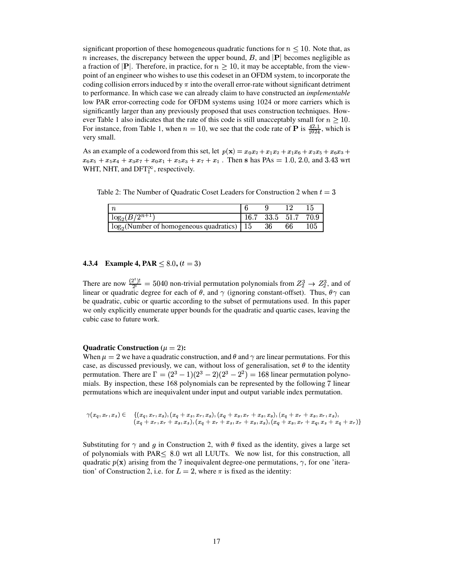significant proportion of these homogeneous quadratic functions for  $n \leq 10$ . Note that, as *n* increases, the discrepancy between the upper bound, B, and  $|{\bf P}|$  becomes negligible as a fraction of  $|{\bf P}|$ . Therefore, in practice, for  $n \geq 10$ , it may be acceptable, from the viewpoint of an engineer who wishes to use this codeset in an OFDM system, to incorporate the coding collision errors induced by  $\pi$  into the overall error-rate without significant detriment to performance. In which case we can already claim to have constructed an *implementable* low PAR error-correcting code for OFDM systems using 1024 or more carriers which is significantly larger than any previously proposed that uses construction techniques. However Table 1 also indicates that the rate of this code is still unacceptably small for  $n \geq 10$ . For instance, from Table 1, when  $n = 10$ , we see that the code rate of **P** is  $\frac{42.1}{1024}$ , which is very small.

As an example of a codeword from this set, let  $p(\mathbf{x}) = x_0 x_2 + x_1 x_2 + x_1 x_6 + x_2 x_5 + x_6 x_3 +$  $a_6x_5 + x_5x_4 + x_3x_7 + x_0x_1 + x_5x_3 + x_7 + x_1$ . Then s has PAs = 1.0, 2.0, and 3.43 wrt WHT, NHT, and  $DFT_1^{\infty}$ , respectively.

Table 2: The Number of Quadratic Coset Leaders for Construction 2 when  $t = 3$ 

| $log_2(B/\sqrt{2^{n+1}})$                        | $16.7\,$ |    | 33.5 51.7 | 70.9 |
|--------------------------------------------------|----------|----|-----------|------|
| $\log_2$ (Number of homogeneous quadratics)   15 |          | 36 |           | 105  |

#### **4.3.4 Example 4, PAR**  $\leq 8.0$ ,  $(t = 3)$

There are now  $\frac{(2^i)!}{2^i} = 5040$  non-trivial permutation polynomials from  $Z_2^3 \rightarrow Z_2^3$ , and of linear or quadratic degree for each of  $\theta$ , and  $\alpha$  (innoring constant offset). Thus,  $\theta \alpha$  can linear or quadratic degree for each of  $\theta$ , and  $\gamma$  (ignoring constant-offset). Thus,  $\theta\gamma$  can  $_2^3$ , and of be quadratic, cubic or quartic according to the subset of permutations used. In this paper we only explicitly enumerate upper bounds for the quadratic and quartic cases, leaving the cubic case to future work.

#### **Quadratic Construction**  $(\mu = 2)$ :

When  $\mu = 2$  we have a quadratic construction, and  $\theta$  and  $\gamma$  are linear permutations. For this case, as discussed previously, we can, without loss of generalisation, set  $\theta$  to the identity permutation. There are  $\Gamma = (2^3 - 1)(2^3 - 2)(2^3)$  $(3^3-2)(2^3-2^2)$  =  $x^3 - 2^2$ ) = 168 linear permutation polynomials. By inspection, these 168 polynomials can be represented by the following 7 linear permutations which are inequivalent under input and output variable index permutation.

$$
\gamma(x_q, x_r, x_s) \in \{ (x_q, x_r, x_s), (x_q + x_s, x_r, x_s), (x_q + x_s, x_r + x_s, x_s), (x_q + x_r + x_s, x_r, x_s), (x_q + x_r, x_r + x_s, x_s), (x_q + x_r, x_r + x_s, x_s), (x_q + x_s, x_r + x_s, x_r + x_s, x_s + x_q, x_s + x_r) \}
$$

Substituting for  $\gamma$  and g in Construction 2, with  $\theta$  fixed as the identity, gives a large set of polynomials with PAR  $\leq 8.0$  wrt all LUUTs. We now list, for this construction, all quadratic  $p(\mathbf{x})$  arising from the 7 inequivalent degree-one permutations,  $\gamma$ , for one 'iteration' of Construction 2, i.e. for  $L = 2$ , where  $\pi$  is fixed as the identity: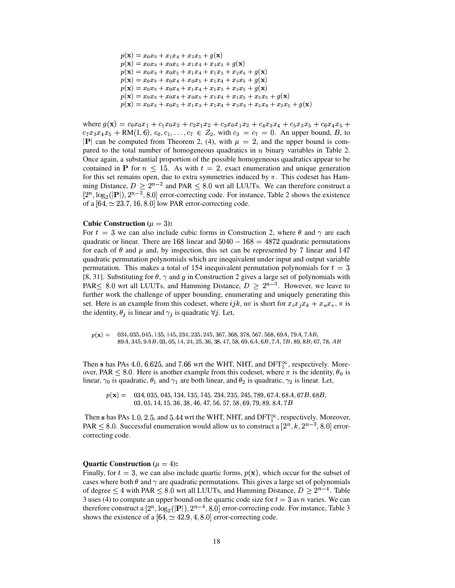```
p(\mathbf{x}) = x_0x_3 + x_1x_4 + x_2x_5 + g(\mathbf{x})p({\bf x}) = x_0x_3 + x_0x_5 + x_1x_4 + x_2x_5 + g({\bf x})p({\bf x}) = x_0x_3 + x_0x_5 + x_1x_4 + x_1x_5 + x_2x_5 + g({\bf x})p({\bf x}) = x_0x_3 + x_0x_4 + x_0x_5 + x_1x_4 + x_2x_5 + g({\bf x})p({\bf x}) = x_0x_3 + x_0x_4 + x_1x_4 + x_1x_5 + x_2x_5 + g({\bf x})p({\bf x}) = x_0x_3 + x_0x_4 + x_0x_5 + x_1x_4 + x_1x_5 + x_2x_5 + g({\bf x})\hat{\mathbf{x}} = \hat{x}_0 \hat{x}_0 + \hat{x}_0 \hat{x}_1 + \hat{x}_1 \hat{x}_2 + \hat{x}_2 \hat{x}_3 + \hat{x}_3 \hat{x}_4 + \hat{x}_2 \hat{x}_4 + \hat{x}_3 \hat{x}_5 + \hat{a}(\hat{x})
```
where  $g(\mathbf{x}) = c_0 x_0 x_1 + c_1 x_0 x_2 + c_2 x_1 x_2 + c_3 x_0 x_1 x_2 + c_4 x_3 x_4 + c_5 x_3 x_5 + c_6 x_4 x_5 +$  $c_7x_3x_4x_5 + RM(1,6), c_0, c_1, \ldots, c_7 \in Z_2$ , with  $c_3 = c_7 = 0$ . An upper bound, B, to  $\mathbf{P}$  can be computed from Theorem 2, (4), with  $\mu = 2$ , and the upper bound is compared to the total number of homogeneous quadratics in  $n$  binary variables in Table 2. Once again, a substantial proportion of the possible homogeneous quadratics appear to be contained in **P** for  $n \leq 15$ . As with  $t = 2$ , exact enumeration and unique generation for this set remains open, due to extra symmetries induced by  $\pi$ . This codeset has Hamming Distance,  $D > 2^{n-2}$  and PAR < 8.0 wrt all LUUTs. We can therefore construct a of a  $[64, \simeq 23.7, 16, 8.0]$  low PAR error-correcting code.  $(|{\bf P}|), 2^{n-2}, 8.0]$  error-correcting code. For instance, Table 2 shows the existence

#### **Cubic Construction** ( $\mu = 3$ ):

For  $t = 3$  we can also include cubic forms in Construction 2, where  $\theta$  and  $\gamma$  are each quadratic or linear. There are  $168$  linear and  $5040-168=4872$  quadratic permutations for each of  $\theta$  and  $\mu$  and, by inspection, this set can be represented by 7 linear and 147 quadratic permutation polynomials which are inequivalent under input and output variable permutation. This makes a total of 154 inequivalent permutation polynomials for  $t = 3$ [8, 31]. Substituting for  $\theta$ ,  $\gamma$  and g in Construction 2 gives a large set of polynomials with PAR $\leq 8.0$  wrt all LUUTs, and Hamming Distance,  $D \geq 2^{n-3}$ . However, we leave to further work the challenge of upper bounding, enumerating and uniquely generating this set. Here is an example from this codeset, where if k, uv is short for  $x_i x_j x_k + x_u x_v$ ,  $\pi$  is the identity,  $\theta_i$  is linear and  $\gamma_i$  is quadratic  $\forall j$ . Let,

 $\sim$  (  $\sim$  )  $\sim$  $=$  034, 035, 045, 135, 145, 234, 235, 245, 367, 368, 378, 567, 568, 69, 4, 79, 4, 7, 4 B,  $89A$ ,  $345$ ,  $9AB$ ,  $03$ ,  $05$ ,  $14$ ,  $24$ ,  $25$ ,  $36$ ,  $38$ ,  $47$ ,  $58$ ,  $69$ ,  $6A$ ,  $6B$ ,  $7A$ ,  $7B$ ,  $89$ ,  $8B$ ,  $67$ ,  $78$ ,  $AB$ 

Then s has PAs 4.0, 6.625, and 7.66 wrt the WHT, NHT, and DFT $_{1}^{\infty}$ , respectively. Moreover, PAR  $\leq$  8.0. Here is another example from this codeset, where  $\pi$  is the identity,  $\theta_0$  is linear,  $\gamma_0$  is quadratic,  $\theta_1$  and  $\gamma_1$  are both linear, and  $\theta_2$  is quadratic,  $\gamma_2$  is linear. Let,

 $\lambda$  , the second of distribution of  $\lambda$  , we have considered to the system of  $\mu$  $03, 05, 14, 15, 36, 38, 46, 47, 56, 57, 58, 69, 79, 89, 8A, 7B$ 

Then s has PAs 1.0, 2.5, and 5.44 wrt the WHT, NHT, and DFT $_1^{\infty}$ , respectively. Moreover, PAR  $\leq$  8.0. Successful enumeration would allow us to construct a  $[2^n, k, 2^{n-3}, 8.0]$  errorcorrecting code.

#### **Quartic** Construction ( $\mu = 4$ ):

Finally, for  $t = 3$ , we can also include quartic forms,  $p(x)$ , which occur for the subset of cases where both  $\theta$  and  $\gamma$  are quadratic permutations. This gives a large set of polynomials of degree  $\leq 4$  with PAR  $\leq 8.0$  wrt all LUUTs, and Hamming Distance,  $D \geq 2^{n-4}$ . Table 3 uses (4) to compute an upper bound on the quartic code size for  $t = 3$  as n varies. We can therefore construct a  $[2^n, \log_2(|\mathbf{P}|), 2^{n-4}, 8.0]$  error-correcting code. For instance, Table 3 shows the existence of a  $[64, \simeq 42.9, 4, 8.0]$  error-correcting code.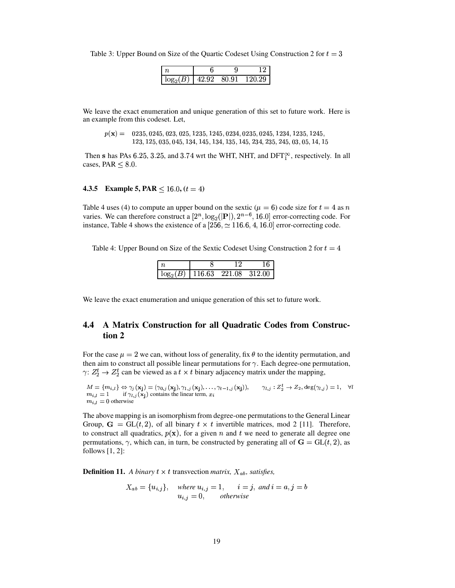Table 3: Upper Bound on Size of the Quartic Codeset Using Construction 2 for  $t = 3$ 

| 10 <sup>o</sup> | Q9 | 80.91 | 120.29 |
|-----------------|----|-------|--------|

We leave the exact enumeration and unique generation of this set to future work. Here is an example from this codeset. Let,

 $p(\mathbf{x}) = 0235, 0245, 023, 025, 1235, 1245, 0234, 0235, 0245, 1234, 1235, 1245,$ 123, 125, 035, 045, 134, 145, 134, 135, 145, 234, 235, 245, 03, 05, 14, 15

Then s has PAs 6.25, 3.25, and 3.74 wrt the WHT, NHT, and DFT $_{1}^{\infty}$ , respectively. In all cases, PAR  $\leq 8.0$ .

#### **4.3.5** Example 5, PAR  $\leq 16.0$ ,  $(t = 4)$

Table 4 uses (4) to compute an upper bound on the sextic ( $\mu = 6$ ) code size for  $t = 4$  as n varies. We can therefore construct a  $[2^n, \log_2(|\mathbf{P}|), 2^{n-6}, 16.0]$  error-correcting code. For instance, Table 4 shows the existence of a  $[256, \simeq 116.6, 4, 16.0]$  error-correcting code.

Table 4: Upper Bound on Size of the Sextic Codeset Using Construction 2 for  $t = 4$ 

| $\log_2(B)$   116.63 221.08 312.00 |  |  |
|------------------------------------|--|--|

We leave the exact enumeration and unique generation of this set to future work.

## 4.4 A Matrix Construction for all Quadratic Codes from Construction 2

For the case  $\mu = 2$  we can, without loss of generality, fix  $\theta$  to the identity permutation, and then aim to construct all possible linear permutations for  $\gamma$ . Each degree-one permutation,  $\gamma: Z_2^t \to Z_2^t$  can be viewed as a  $t \times t$  binary adjacency matrix under the mapping,

 $M = \{m_{i,l}\}\Leftrightarrow \gamma_j(\mathbf{x_j}) = (\gamma_{0,j}(\mathbf{x_j}), \gamma_{1,j}(\mathbf{x_j}), \dots, \gamma_{t-1,j}(\mathbf{x_j})), \qquad \gamma_{l,j} : Z_2^t \to Z_2, \deg(\gamma_{l,j}) = 1, \quad \forall l$ <br>  $m_{i,l} = 1$  if  $\gamma_{l,j}(\mathbf{x_j})$  contains the linear term,  $x_i$  $m_{i,l} = 0$  otherwise

The above mapping is an isomorphism from degree-one permutations to the General Linear Group,  $G = GL(t, 2)$ , of all binary  $t \times t$  invertible matrices, mod 2 [11]. Therefore, to construct all quadratics,  $p(x)$ , for a given n and t we need to generate all degree one permutations,  $\gamma$ , which can, in turn, be constructed by generating all of  $\mathbf{G} = GL(t, 2)$ , as follows  $[1, 2]$ :

**Definition 11.** A binary  $t \times t$  transvection matrix,  $X_{ab}$ , satisfies,

$$
X_{ab} = \{u_{i,j}\}, \quad \text{where } u_{i,j} = 1, \quad i = j, \text{ and } i = a, j = b
$$
  

$$
u_{i,j} = 0, \quad \text{otherwise}
$$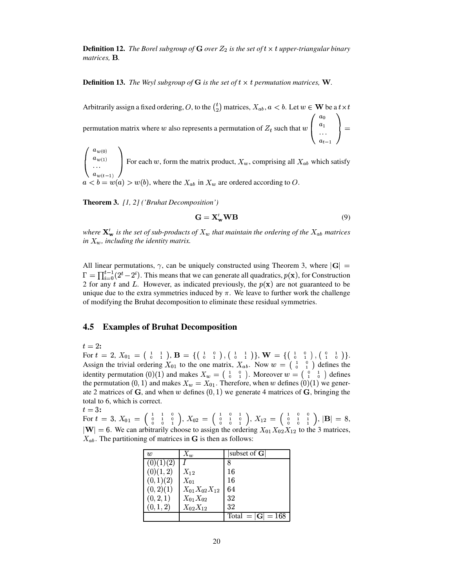**Definition 12.** The Borel subgroup of G over  $Z_2$  is the set of  $t \times t$  upper-triangular binary matrices, B.

**Definition 13.** The Weyl subgroup of G is the set of  $t \times t$  permutation matrices, W.

Arbitrarily assign a fixed ordering, O, to the  $\binom{t}{2}$  matrices,  $X_{ab}$ ,  $a < b$ . Let  $w \in W$  be a  $t \times t$ permutation matrix where w also represents a permutation of  $Z_t$  such that  $w\begin{pmatrix} a_0 \\ a_1 \\ \cdots \end{pmatrix} =$ 

 $\begin{pmatrix} a_{w(0)} \\ a_{w(1)} \\ \cdots \\ a_{w(t-1)} \end{pmatrix}$  For each w, form the matrix product,  $X_w$ , comprising all  $X_{ab}$  which satisfy  $a < b = w(a) > w(b)$ , where the  $X_{ab}$  in  $X_w$  are ordered according to  $O$ .

**Theorem 3.** [1, 2] ('Bruhat Decomposition')

$$
\mathbf{G} = \mathbf{X}'_{\mathbf{w}} \mathbf{W} \mathbf{B} \tag{9}
$$

where  $\mathbf{X}'_{\mathbf{w}}$  is the set of sub-products of  $X_w$  that maintain the ordering of the  $X_{ab}$  matrices in  $X_w$ , including the identity matrix.

All linear permutations,  $\gamma$ , can be uniquely constructed using Theorem 3, where  $|\mathbf{G}| =$  $\Gamma = \prod_{i=0}^{t-1} (2^t - 2^i)$ . This means that we can generate all quadratics,  $p(\mathbf{x})$ , for Construction 2 for any t and L. However, as indicated previously, the  $p(x)$  are not guaranteed to be unique due to the extra symmetries induced by  $\pi$ . We leave to further work the challenge of modifying the Bruhat decomposition to eliminate these residual symmetries.

#### 4.5 **Examples of Bruhat Decomposition**

 $t=2$ :

For  $t = 2$ ,  $X_{01} = \begin{pmatrix} 1 & 1 \\ 0 & 1 \end{pmatrix}$ ,  $\mathbf{B} = \{ \begin{pmatrix} 1 & 0 \\ 0 & 1 \end{pmatrix}, \begin{pmatrix} 1 & 1 \\ 0 & 1 \end{pmatrix} \}$ ,  $\mathbf{W} = \{ \begin{pmatrix} 1 & 0 \\ 0 & 1 \end{pmatrix}, \begin{pmatrix} 0 & 1 \\ 1 & 0 \end{pmatrix} \}$ .<br>Assign the trivial ordering  $X_{01}$  to the one matrix, the permutation (0, 1) and makes  $X_w = X_{01}$ . Therefore, when w defines (0)(1) we generate 2 matrices of  $G$ , and when w defines  $(0, 1)$  we generate 4 matrices of  $G$ , bringing the total to 6, which is correct.

 $t=3$ : For  $t = 3$ ,  $X_{01} = \begin{pmatrix} 1 & 1 & 0 \ 0 & 1 & 0 \ 0 & 0 & 1 \end{pmatrix}$ ,  $X_{02} = \begin{pmatrix} 1 & 0 & 1 \ 0 & 1 & 0 \ 0 & 0 & 1 \end{pmatrix}$ ,  $X_{12} = \begin{pmatrix} 1 & 0 & 0 \ 0 & 1 & 1 \ 0 & 0 & 1 \end{pmatrix}$ ,  $|{\bf B}| = 8$ ,  $|{\bf W}| = 6$ . We can arbitrarily choose to assign the o  $X_{ab}$ . The partitioning of matrices in G is then as follows:

| w         | $X_w$                | subset of $G$       |
|-----------|----------------------|---------------------|
| (U)(1)(2) |                      |                     |
| (0)(1, 2) | $X_{12}$             | 16                  |
| (0,1)(2)  | $X_{01}$             | 16                  |
| (0, 2)(1) | $X_{01}X_{02}X_{12}$ | 64                  |
| (0, 2, 1) | $X_{01}X_{02}$       | 32                  |
| (0, 1, 2) | $X_{02}X_{12}$       | 32                  |
|           |                      | Total = $ G  = 168$ |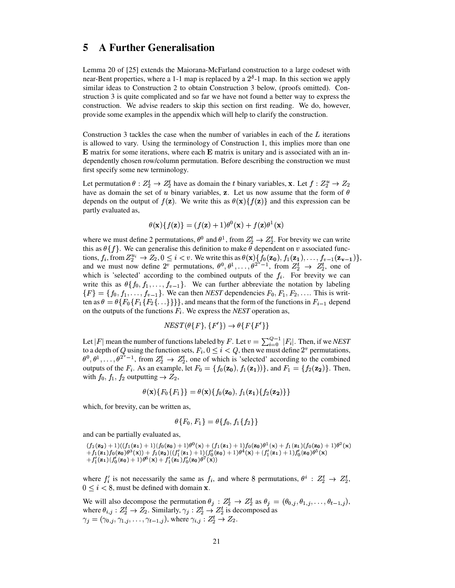# **5 A Further Generalisation**

Lemma 20 of [25] extends the Maiorana-McFarland construction to a large codeset with near-Bent properties, where a 1-1 map is replaced by a  $2^{\delta}$ -1 map. In this section we apply similar ideas to Construction 2 to obtain Construction 3 below, (proofs omitted). Construction 3 is quite complicated and so far we have not found a better way to express the construction. We advise readers to skip this section on first reading. We do, however, provide some examples in the appendix which will help to clarify the construction.

Construction 3 tackles the case when the number of variables in each of the  $L$  iterations is allowed to vary. Using the terminology of Construction 1, this implies more than one  $\bf E$  matrix for some iterations, where each  $\bf E$  matrix is unitary and is associated with an independently chosen row/column permutation. Before describing the construction we must first specify some new terminology.

Let permutation  $\theta: Z_2^t \to Z_2^t$  have as domain the t binary variables, **x**. Let  $f: Z_2^u \to Z_2$ have as domain the set of u binary variables, **z**. Let us now assume that the form of  $\theta$ depends on the output of  $f(\mathbf{z})$ . We write this as  $\theta(\mathbf{x})\{f(\mathbf{z})\}$  and this expression can be partly evaluated as,

$$
\theta(\mathbf{x})\{f(\mathbf{z})\} = (f(\mathbf{z}) + 1)\theta^0(\mathbf{x}) + f(\mathbf{z})\theta^1(\mathbf{x})
$$

where we must define 2 permutations,  $\theta^0$  and  $\theta^1$ , from  $Z_2^t \rightarrow Z_2^t$ . For brevity we can write this as  $\theta\{f\}$ . We can generalise this definition to make  $\theta$  dependent on v associated functions,  $f_i$ , from  $Z_2^{u_i} \to Z_2$ ,  $0 \le i < v$ . We write this as  $\theta(\mathbf{x})\{f_0(\mathbf{z_0}), f_1(\mathbf{z_1}), \dots, f_{v-1}(\mathbf{z_{v-1}})\}$ , and we must now define  $2^v$  permutations,  $\theta^0, \theta^1, \ldots, \theta^{2^v-1}$ , from  $Z_2^t \to Z_2^t$ , one of which is 'selected' according to the combined outputs of the  $f_i$ . For brevity we can write this as  $\theta\{f_0, f_1, \ldots, f_{v-1}\}$ . We can further abbreviate the notation by labeling  $\{F\} = \{f_0, f_1, \ldots, f_{v-1}\}.$  We can then *NEST* dependencies  $F_0, F_1, F_2, \ldots$ . This is written as  $\theta = \theta \{ F_0 \{ F_1 \{ F_2 \} \dots \} \}$ , and means that the form of the functions in  $F_{i-1}$  depend on the outputs of the functions  $F_i$ . We express the *NEST* operation as,

$$
NEST(\theta\{F\}, \{F'\}) \to \theta\{F\{F'\}\}\
$$

Let | F| mean the number of functions labeled by F. Let  $v = \sum_{i=0}^{Q-1} |F_i|$ . Then, if we *NEST* to a depth of Q using the function sets,  $F_i$ ,  $0 \le i < Q$ , then we must define  $2^v$  permutations,  $\theta^0, \theta^1, \ldots, \theta^{2^s-1}$ , from  $Z_2^t \to Z_2^t$ , one of which is 'selected' according to the combined outputs of the  $F_i$ . As an example, let  $F_0 = \{f_0(\mathbf{z_0}), f_1(\mathbf{z_1})\}\)$ , and  $F_1 = \{f_2(\mathbf{z_2})\}\)$ . Then, with  $f_0, f_1, f_2$  outputting  $\rightarrow Z_2$ ,

$$
\theta({\bf x})\{F_0\{F_1\}\}=\theta({\bf x})\{f_0({\bf z_0}),f_1({\bf z_1})\{f_2({\bf z_2})\}\}
$$

which, for brevity, can be written as,

$$
\theta\{F_0,F_1\}=\theta\{f_0,f_1\{f_2\}\}
$$

and can be partially evaluated as,

 $\begin{array}{l} (f_2({\bf z_2})+1)((\theta_1+\theta_2{\bf z_1})f_0({\bf z_0}) \ +f_1({\bf z_1})f_1({\bf z_2})f_2({\bf z_3}) \end{array}$  $(f_1(\mathbf{z}_1) + 1)(f_2(\mathbf{z}_0) + f_3(\mathbf{z}_0))$ <br>  $(f_1'(\mathbf{z}_0) + 1)\theta^6(\mathbf{x}) +$  $(f_0(z_0) + 1) \theta^{0}$ <br>  $(f_1(z_1) + f_2(z_2)) (f_1'(z_1) - 1) \theta^{0}(x) + f'(z_1) f'(z_2)$  $(1+1)\theta^{\mathsf{U}}(\mathbf{x}) + ($ ØÒØ  $() + (f_1(\mathbf{z}_1) + 1)f_0$ <br>  $() (f'_0(\mathbf{z}_0) + 1)\theta^4(\mathbf{x}_0)$  $(0 + 1) f_0(\mathbf{z_0}) \theta^1(\mathbf{x}) +$ <br>- 1) $\theta^4(\mathbf{x}) + (f'_1(\mathbf{z_1}))$  $\theta^1(\mathbf{x}) + f$  $(f_1(f_1)(f_0(\mathbf{z_0}))$ <br>  $(1 + 1) f'_0(\mathbf{z_0}) \theta^5$  $)(f_0(\mathbf{z_0})+1)\theta^2$ <br>  $(\mathbf{z_0})\theta^5(\mathbf{x})$  $(1+1)\theta^2(\mathbf{x})$ <sup>Ú</sup>  $+f_1(z_1) f_0(z_0) t$ <br>+ $f'_1(z_1) (f'_0(z_0))$  $(f_0(\mathbf{z_0})\theta^3(\mathbf{x}))$ <br> $(f_0'(\mathbf{z_0})+1)\theta$  $(f_1'(\mathbf{z}_1)) + f_2(\mathbf{z}_2)((f_1'(\mathbf{z}_1))$ <br>  $(f_1'(\mathbf{z}_1)) + 1)\theta^6(\mathbf{x}) + f_1'(\mathbf{z}_1)f_0'$  $)( (f'_1({\bf z_1}) + 1)(f'_2({\bf z_2})f'_0({\bf z_0})\theta^7);$  $(1) + 1$  $(f'_0(\mathbf{z_0}) + 1)\theta^4$ <br> $(\mathbf{z_0})\theta^7(\mathbf{x})$  $(1 + 1)\theta^4(\mathbf{x}) + (f'_1(\mathbf{z}_1) + 1)f'_0$  $(1 + 1) f_0'(\mathbf{z_0}) \theta^5(\mathbf{x})$  $\theta^5({\bf x})$  $+f'_1(\mathbf{z}_1)(f'_0(\mathbf{z}_0)+1)\theta^6(\mathbf{x})+f'_1(\mathbf{z}_1)f'_0(\mathbf{z}_0)\theta^7(\mathbf{x}))$ 

where  $f_i'$  is not necessarily the same as  $f_i$ , and where 8 permutations,  $\theta^i : Z_2^t \to Z_2^t$ ,  $0 \le i \le 8$ , must be defined with domain **x**.

We will also decompose the permutation  $\theta_j : Z_2^t \to Z_2^t$  as  $\theta_j = (\theta_{0,j}, \theta_{1,j}, \dots, \theta_{t-1,j}),$ where  $\theta_{i,j}: Z_2^t \to Z_2$ . Similarly,  $\gamma_j: Z_2^t \to Z_2^t$  is decomposed as  $\gamma_j = (\gamma_{0,j}, \gamma_{1,j}, \ldots, \gamma_{t-1,j}),$  where  $\gamma_{i,j} : Z_2^t \to Z_2$ .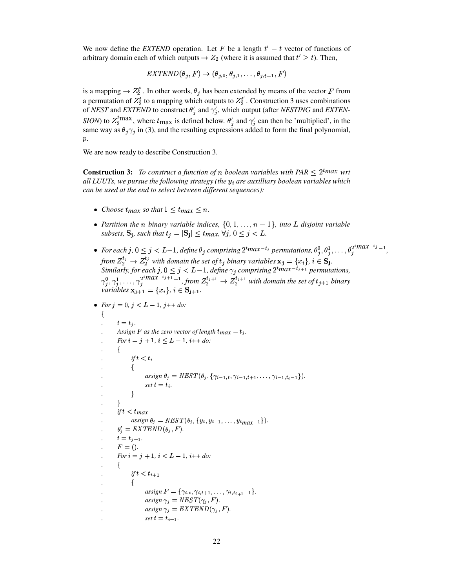We now define the *EXTEND* operation. Let F be a length  $t' - t$  vector of functions of arbitrary domain each of which outputs  $\rightarrow Z_2$  (where it is assumed that  $t' \geq t$ ). Then,

$$
EXTEND(\theta_j,F)\rightarrow (\theta_{j,0},\theta_{j,1},\ldots,\theta_{j,t-1},F)
$$

is a mapping  $\rightarrow Z_2^t$ . In other words,  $\theta_j$  has been extended by means of the vector F from a permutation of  $Z_2^t$  to a mapping which outputs to  $Z_2^t$ . Construction 3 uses combinations of *NEST* and *EXTEND* to construct  $\theta'_{i}$  and  $\gamma'_{i}$ , which output (after *NESTING* and *EXTEN*-*SION*) to  $Z_2^{\text{t}}$  where  $t_{\text{max}}$  is defined below.  $\theta'_j$  and  $\gamma'_j$  can then be 'multiplied', in the same way as  $\theta_i \gamma_i$  in (3), and the resulting expressions added to form the final polynomial,  $p$ .

We are now ready to describe Construction 3.

**Construction 3:** To construct a function of n boolean variables with PAR  $\leq 2^{\text{t}}$  *max* wrt *all LUUTs, we pursue the following strategy (the* <sup>F</sup> *are auxilliary boolean variables which can be used at the end to select between different sequences):*

- Choose  $t_{max}$  so that  $1 \leq t_{max} \leq n$ .
- Partition the *n* binary variable indices,  $\{0, 1, \ldots, n-1\}$ , into *L* disjoint variable subsets,  $\mathbf{S_j}$ , such that  $t_j = |\mathbf{S_j}| \leq t_{max}$ ,  $\forall j, 0 \leq j < L$ .
- For each  $j, 0 \leq j < L-1$ , define  $\theta_j$  comprising  $2^{t}$ max<sup>-t<sub>i</sub></sup> permutations,  $\theta_j^0, \theta_j^1, \ldots, \theta_j^{2^t}$ max<sup>-t<sub>i</sub></sup>-1</sup>, from  $Z_2^{t_j} \rightarrow Z_2^{t_j}$  with domain the set of  $t_j$  binary variables  $\mathbf{x_j} = \{x_i\}, i \in \mathbf{S_j}$ .  $Z_2^{i_1} \rightarrow Z_2^{i_2}$  with domain the set of  $t_j$  binary variables  $\mathbf{x_j} = \{x_i\}$ ,  $i \in \mathbf{S_j}$ . *Similarly, for each*  $j, 0 \leq j \leq L-1$ , *define*  $\gamma_j$  *comprising*  $2^{t}max^{-t_{j+1}}$  *permuta*<br>  $\alpha^{t_{j+1}}$   $\alpha^{t_{j+1}}$   $\alpha^{t_{j+1}}$   $\alpha^{t_{j+1}}$   $\alpha^{t_{j+1}}$   $\alpha^{t_{j+1}}$   $\alpha^{t_{j+1}}$ *permutations,* <sup>r</sup> . . .  $\gamma_1^0, \gamma_2^1, \ldots, \gamma_i^{2^t max^{-t}}$  $Z_j^{t_{j+1}} \to Z_2^{t_{j+1}}$  with domain the set of  $t_{j+1}$  binary *variables*  $x_{i+1} = \{x_i\}, i \in S_{i+1}.$

```
• For j = 0, j < L - 1, j + + do:
```

```
j
t = t_j.a Assign F as the zero vector of length t_{max} - t_j.
. For i = j + 1, i \leq L - 1, i + + do:
    . j
          ift 
         . j
assign \theta_j = NEST(\theta_j, \{ \gamma_{i-1,t}, \gamma_{i-1,t+1}, \ldots, \gamma_{i-1,t_{i}-1} \}).<br>
set t = t_i.
set t = t_i.
. w
    . w
     if t < tmax
assign \theta_j = NEST(\theta_j, \{y_t, y_{t+1}, \ldots, y_{tmax-1}\}).<br>
\theta'_i = EXTEND(\theta_i, F).\theta'_i = \text{EXTEND}(\theta_j, F).t = t_{j+1}.\mathcal{L}. F = ().
. For i = j + 1, i < L - 1, i + + do:
     \{.
if t < t_{i+1}. j
assign F = \{ \gamma_{i,t}, \gamma_{i,t+1}, \ldots, \gamma_{i,t_{i+1}-1} \}.<br>
assign \gamma_j = \text{NEST}(\gamma_j, F).assign \gamma_j = NEST(\gamma_j, F).
assign \gamma_j = EXTEND(\gamma_j, F).
set t = t_{i+1}.
```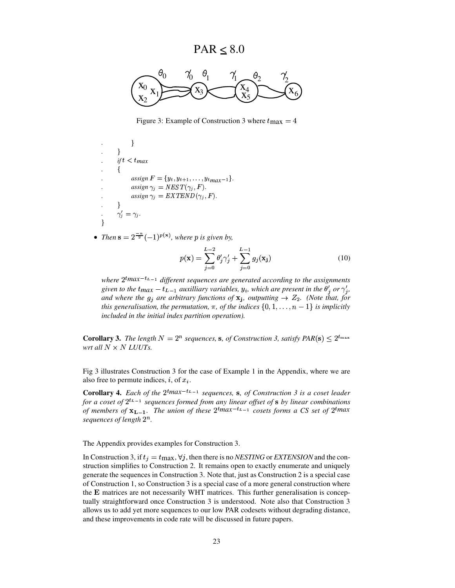$PAR \leq 8.0$ 



Figure 3: Example of Construction 3 where  $t_{\text{max}} = 4$ 

$$
\begin{array}{ll}\n\cdot & & \} \\
\cdot & & \text{if } t < t_{max} \\
\cdot & & \{ \\
\cdot & & \text{assign } F = \{y_t, y_{t+1}, \dots, y_{t_{max}-1}\} \\
\cdot & & \text{assign } \gamma_j = \text{TEST}(\gamma_j, F) \\
\cdot & & \text{assign } \gamma_j = \text{EXTEND}(\gamma_j, F) \\
\cdot & & \} \\
\cdot & & \gamma'_j = \gamma_j.\n\end{array}
$$

• Then  $\mathbf{s} = 2^{\frac{-n}{2}}(-1)^{p(\mathbf{x})}$ , where p is given by,

$$
p(\mathbf{x}) = \sum_{j=0}^{L-2} \theta'_j \gamma'_j + \sum_{j=0}^{L-1} g_j(\mathbf{x}_j)
$$
 (10)

*where*  $2^{t}max^{-t_{L-1}}$  different sequences are generated according to the assignments<br>given to the  $t_{max} - t_{s}$  a guvilliary variables, we which are present in the  $\theta'$  or  $\alpha'$ given to the  $t_{max} - t_{L-1}$  auxilliary variables,  $y_i$ , which are present in the  $\theta'_j$  or  $\gamma'_j$ , *and* where the  $g_j$  are arbitrary functions of  $\mathbf{x}_j$ , outputting  $\rightarrow Z_2$ . (Note that, for *this generalisation, the permutation,*  $\pi$ *, of the indices*  $\{0, 1, \ldots, n-1\}$  *is implicitly included in the initial index partition operation).*

**Corollary 3.** The length  $N = 2^n$  sequences, **s**, of Construction 3, satisfy  $PAR(s) < 2^{t_{\max}}$ *wrt all*  $N \times N$  *LUUTs.* 

Fig 3 illustrates Construction 3 for the case of Example 1 in the Appendix, where we are also free to permute indices, *i*, of  $x_i$ .

**Corollary 4.** Each of the  $2^{t}max^{-t_{L-1}}$  sequences, **s**, of Construction 3 is a coset leader for a coset of  $2^{t_{L-1}}$  sequences formed from any linear offset of  $s$  by linear combinations *for a coset of*  $2^{t_{L-1}}$  *sequences formed from any linear offset of s <i>by linear combinations of mambers of*  $\mathbf{y}_1$  *x - The union of these*  $2^{t_{max}-t_{L-1}}$  *cosets forms a CS set of*  $2^{t_{max}}$ *of* members of  $\mathbf{x}_{L-1}$ . The union of these  $2^{t}$ max<sup>-t<sub>L-1</sub></sup> cosets forms a CS set of  $2^{t}$ max sequences of length  $2^{n}$  $sequences$   $of$   $length$   $2^n$ .

The Appendix provides examples for Construction 3.

In Construction 3, if  $t_j = t_{\text{max}}$ ,  $\forall j$ , then there is no *NESTING* or *EXTENSION* and the construction simplifies to Construction 2. It remains open to exactly enumerate and uniquely generate the sequences in Construction 3. Note that, just as Construction 2 is a special case of Construction 1, so Construction 3 is a special case of a more general construction where the E matrices are not necessarily WHT matrices. This further generalisation is conceptually straightforward once Construction 3 is understood. Note also that Construction 3 allows us to add yet more sequences to our low PAR codesets without degrading distance, and these improvements in code rate will be discussed in future papers.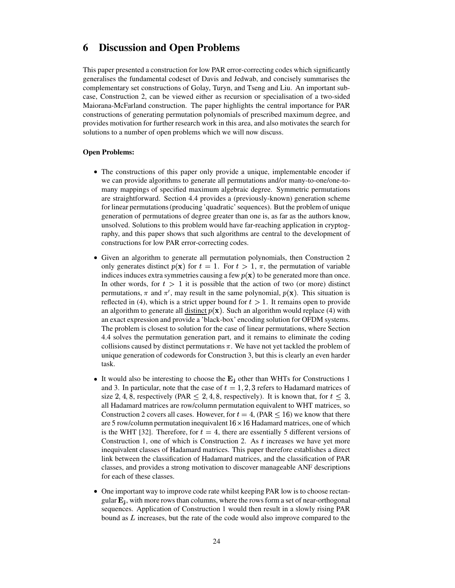# **6 Discussion and Open Problems**

This paper presented a construction for low PAR error-correcting codes which significantly generalises the fundamental codeset of Davis and Jedwab, and concisely summarises the complementary set constructions of Golay, Turyn, and Tseng and Liu. An important subcase, Construction 2, can be viewed either as recursion or specialisation of a two-sided Maiorana-McFarland construction. The paper highlights the central importance for PAR constructions of generating permutation polynomials of prescribed maximum degree, and provides motivation for further research work in this area, and also motivates the search for solutions to a number of open problems which we will now discuss.

#### **Open Problems:**

- <sup>T</sup> The constructions of this paper only provide a unique, implementable encoder if we can provide algorithms to generate all permutations and/or many-to-one/one-tomany mappings of specified maximum algebraic degree. Symmetric permutations are straightforward. Section 4.4 provides a (previously-known) generation scheme for linear permutations(producing 'quadratic'sequences). But the problem of unique generation of permutations of degree greater than one is, as far as the authors know, unsolved. Solutions to this problem would have far-reaching application in cryptography, and this paper shows that such algorithms are central to the development of constructions for low PAR error-correcting codes.
- Given an algorithm to generate all permutation polynomials, then Construction 2 only generates distinct  $p(\mathbf{x})$  for  $t = 1$ . For  $t > 1$ ,  $\pi$ , the permutation of variable indices induces extra symmetries causing a few  $p(x)$  to be generated more than once. In other words, for  $t > 1$  it is possible that the action of two (or more) distinct permutations,  $\pi$  and  $\pi'$ , may result in the same polynomial,  $p(\mathbf{x})$ . This situation is reflected in (4), which is a strict upper bound for  $t > 1$ . It remains open to provide an algorithm to generate all  $distinct p(x)$ . Such an algorithm would replace (4) with</u> an exact expression and provide a 'black-box' encoding solution for OFDM systems. The problem is closest to solution for the case of linear permutations, where Section 4.4 solves the permutation generation part, and it remains to eliminate the coding collisions caused by distinct permutations  $\pi$ . We have not yet tackled the problem of unique generation of codewords for Construction 3, but this is clearly an even harder task.
- It would also be interesting to choose the  $E_j$  other than WHTs for Constructions 1 and 3. In particular, note that the case of  $t = 1, 2, 3$  refers to Hadamard matrices of size 2, 4, 8, respectively (PAR  $\leq$  2, 4, 8, respectively). It is known that, for  $t \leq 3$ , all Hadamard matrices are row/column permutation equivalent to WHT matrices, so Construction 2 covers all cases. However, for  $t = 4$ , (PAR  $\leq 16$ ) we know that there are 5 row/column permutation inequivalent  $16 \times 16$  Hadamard matrices, one of which is the WHT [32]. Therefore, for  $t = 4$ , there are essentially 5 different versions of Construction 1, one of which is Construction 2. As  $t$  increases we have yet more inequivalent classes of Hadamard matrices. This paper therefore establishes a direct link between the classification of Hadamard matrices, and the classification of PAR classes, and provides a strong motivation to discover manageable ANF descriptions for each of these classes.
- One important way to improve code rate whilst keeping PAR low is to choose rectangular  $\mathbf{E}_i$ , with more rows than columns, where the rows form a set of near-orthogonal sequences. Application of Construction 1 would then result in a slowly rising PAR bound as  $L$  increases, but the rate of the code would also improve compared to the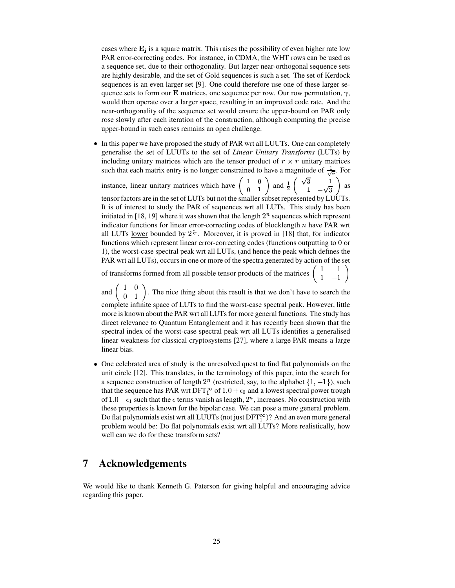cases where  $\mathbf{E}_j$  is a square matrix. This raises the possibility of even higher rate low PAR error-correcting codes. For instance, in CDMA, the WHT rows can be used as a sequence set, due to their orthogonality. But larger near-orthogonal sequence sets are highly desirable, and the set of Gold sequences is such a set. The set of Kerdock sequences is an even larger set [9]. One could therefore use one of these larger sequence sets to form our **E** matrices, one sequence per row. Our row permutation,  $\gamma$ , would then operate over a larger space, resulting in an improved code rate. And the near-orthogonality of the sequence set would ensure the upper-bound on PAR only rose slowly after each iteration of the construction, although computing the precise upper-bound in such cases remains an open challenge.

• In this paper we have proposed the study of PAR wrt all LUUTs. One can completely generalise the set of LUUTs to the set of *Linear Unitary Transforms* (LUTs) by including unitary matrices which are the tensor product of  $r \times r$  unitary matrices such that each matrix entry is no longer constrained to have a magnitude of  $\frac{1}{\sqrt{n}}$ . For  $\mathbf{r}$  and  $\mathbf{r}$  and  $\mathbf{r}$ 

instance, linear unitary matrices which have  $\begin{pmatrix} 1 & 0 \\ 0 & 1 \end{pmatrix}$  and  $\frac{1}{2} \begin{pmatrix} \sqrt{3} & 1 \\ 1 & -\sqrt{3} \end{pmatrix}$  as tensor factors are in the set of LUTs but not the smaller subset represented by LUUTs. It is of interest to study the PAR of sequences wrt all LUTs. This study has been initiated in [18, 19] where it was shown that the length  $2<sup>n</sup>$  sequences which represent indicator functions for linear error-correcting codes of blocklength  $n$  have PAR wrt all LUTs <u>lower</u> bounded by  $2^{\frac{n}{2}}$ . Moreover, it is proved in [18] that, for indicator functions which represent linear error-correcting codes (functions outputting to 0 or 1), the worst-case spectral peak wrt all LUTs, (and hence the peak which defines the PAR wrt all LUTs), occurs in one or more of the spectra generated by action of the set

of transforms formed from all possible tensor products of the matrices  $\begin{pmatrix} 1 & 1 \\ 1 & -1 \end{pmatrix}$ 

and  $\begin{pmatrix} 1 & 0 \\ 0 & 1 \end{pmatrix}$ . The nice thing about this result is that we don't have to search the complete infinite space of LUTs to find the worst-case spectral peak. However, little more is known about the PAR wrt all LUTs for more general functions. The study has direct relevance to Quantum Entanglement and it has recently been shown that the spectral index of the worst-case spectral peak wrt all LUTs identifies a generalised linear weakness for classical cryptosystems [27], where a large PAR means a large linear bias.

• One celebrated area of study is the unresolved quest to find flat polynomials on the unit circle [12]. This translates, in the terminology of this paper, into the search for a sequence construction of length  $2^n$  (restricted, say, to the alphabet  $\{1, -1\}$ ), such that the sequence has PAR wrt DFT $_1^{\infty}$  of  $1.0 + \epsilon_0$  and a lowest spectral power trough of  $1.0 - \epsilon_1$  such that the  $\epsilon$  terms vanish as length,  $2^n$ , increases. No construction with these properties is known for the bipolar case. We can pose a more general problem. Do flat polynomials exist wrt all LUUTs (not just  $\text{DFT}_1^{\infty}$ )? And an even more general problem would be: Do flat polynomials exist wrt all LUTs? More realistically, how well can we do for these transform sets?

# **7 Acknowledgements**

We would like to thank Kenneth G. Paterson for giving helpful and encouraging advice regarding this paper.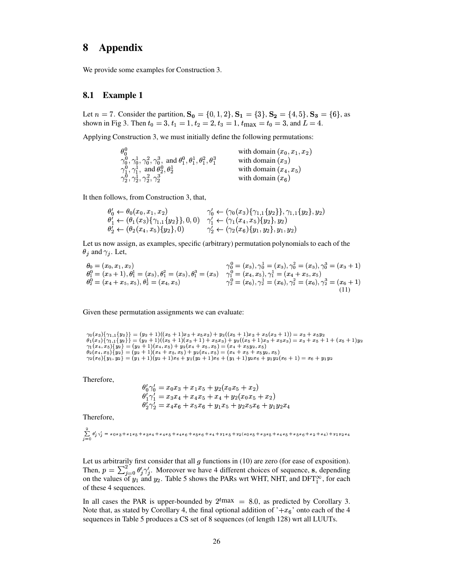#### **Appendix** 8

We provide some examples for Construction 3.

#### 8.1 **Example 1**

Let  $n = 7$ . Consider the partition,  $S_0 = \{0, 1, 2\}$ ,  $S_1 = \{3\}$ ,  $S_2 = \{4, 5\}$ ,  $S_3 = \{6\}$ , as shown in Fig 3. Then  $t_0 = 3$ ,  $t_1 = 1$ ,  $t_2 = 2$ ,  $t_3 = 1$ ,  $t_{\text{max}} = t_0 = 3$ , and  $L = 4$ .

Applying Construction 3, we must initially define the following permutations:

| $\theta_0^0$                                                                                                              | with domain $(x_0, x_1, x_2)$ |
|---------------------------------------------------------------------------------------------------------------------------|-------------------------------|
| $\gamma_0^0$ , $\gamma_0^1$ , $\gamma_0^2$ , $\gamma_0^3$ , and $\theta_1^0$ , $\theta_1^1$ , $\theta_1^2$ , $\theta_1^3$ | with domain $(x_3)$           |
| $\gamma_1^0, \gamma_1^1$ , and $\theta_2^0, \theta_2^1$                                                                   | with domain $(x_4, x_5)$      |
| $\gamma_2^0, \gamma_2^1, \gamma_2^2, \gamma_2^3$                                                                          | with domain $(x_6)$           |

It then follows, from Construction 3, that,

$$
\begin{array}{ll}\n\theta'_0 \leftarrow \theta_0(x_0, x_1, x_2) & \gamma'_0 \leftarrow (\gamma_0(x_3) \{\gamma_{1,1}\{y_2\}\}, \gamma_{1,1}\{y_2\}, y_2) \\
\theta'_1 \leftarrow (\theta_1(x_3) \{\gamma_{1,1}\{y_2\}\}, 0, 0) & \gamma'_1 \leftarrow (\gamma_1(x_4, x_5) \{y_2\}, y_2) \\
\theta'_2 \leftarrow (\theta_2(x_4, x_5) \{y_2\}, 0) & \gamma'_2 \leftarrow (\gamma_2(x_6) \{y_1, y_2\}, y_1, y_2)\n\end{array}
$$

Let us now assign, as examples, specific (arbitrary) permutation polynomials to each of the  $\theta_i$  and  $\gamma_i$ . Let,

$$
\begin{array}{ll}\n\theta_0 = (x_0, x_1, x_2) & \gamma_0^0 = (x_3), \gamma_0^1 = (x_3), \gamma_0^2 = (x_3), \gamma_0^3 = (x_3 + 1) \\
\theta_1^0 = (x_3 + 1), \theta_1^1 = (x_3), \theta_1^2 = (x_3), \theta_1^3 = (x_3) & \gamma_1^0 = (x_4, x_5), \gamma_1^1 = (x_4 + x_5, x_5) \\
\theta_2^0 = (x_4 + x_5, x_5), \theta_2^1 = (x_4, x_5) & \gamma_2^0 = (x_6), \gamma_2^1 = (x_6), \gamma_2^2 = (x_6), \gamma_2^3 = (x_6 + 1) \\
\end{array}
$$
\n(11)

Given these permutation assignments we can evaluate:

```
\begin{array}{l} \gamma_0(x_3)\{\gamma_1,\{\{y_2\}\}}=(y_2+1)((x_5+1)x_3+x_5x_3)+y_2((x_5+1)x_3+x_5(x_3+1))=x_3+x_5y_2\\ \theta_1(x_3)\{\gamma_{1,1}\{y_2\}\}=(y_2+1)((x_5+1)(x_3+1)+x_5x_3)+y_2((x_5+1)x_3+x_5x_3)=x_3+x_5+1+(x_5+1)y_2\\ \gamma_1(x_4,x_5)\{y_2\}=(y_2+1)(x_4,x_5)+y_2(x_4+x_5,x_5)=(x_4+x_5y_2
```
Therefore,

$$
\begin{array}{l} \theta'_0\gamma'_0 = x_0x_3 + x_1x_5 + y_2(x_0x_5 + x_2) \\ \theta'_1\gamma'_1 = x_3x_4 + x_4x_5 + x_4 + y_2(x_0x_5 + x_2) \\ \theta'_2\gamma'_2 = x_4x_6 + x_5x_6 + y_1x_5 + y_2x_5x_6 + y_1y_2x_4 \end{array}
$$

Therefore,

$$
\sum_{j=0}^{2}\theta_{j}^{\prime}\gamma_{j}^{\prime}=x_{0}x_{3}+x_{1}x_{5}+x_{3}x_{4}+x_{4}x_{5}+x_{4}x_{6}+x_{5}x_{6}+x_{4}+y_{1}x_{5}+y_{2}(x_{0}x_{5}+x_{3}x_{5}+x_{4}x_{5}+x_{5}x_{6}+x_{2}+x_{4})+y_{1}y_{2}x_{4}
$$

Let us arbitrarily first consider that all  $g$  functions in (10) are zero (for ease of exposition). Then,  $p = \sum_{i=0}^{2} \theta'_i \gamma'_i$ . Moreover we have 4 different choices of sequence, s, depending on the values of  $y_1$  and  $y_2$ . Table 5 shows the PARs wrt WHT, NHT, and DFT<sub>1</sub><sup>o</sup>, for each of these 4 sequences.

In all cases the PAR is upper-bounded by  $2^{t}$ max = 8.0, as predicted by Corollary 3. Note that, as stated by Corollary 4, the final optional addition of '+ $x_6$ ' onto each of the 4 sequences in Table 5 produces a CS set of 8 sequences (of length 128) wrt all LUUTs.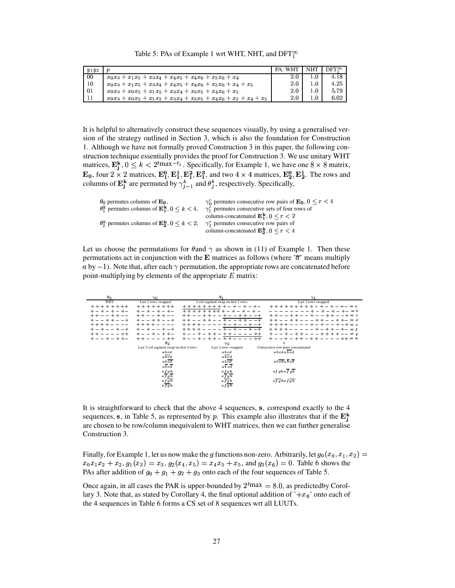Table 5: PAs of Example 1 wrt WHT, NHT, and  $\mathrm{DFT}_1^\infty$ 

| $y_1y_2$       |                                                                         | <b>PA: WHT</b> | NHT | $\rm{DFT}^{\infty}$ |  |
|----------------|-------------------------------------------------------------------------|----------------|-----|---------------------|--|
| 00             | $x_0x_3 + x_1x_5 + x_3x_4 + x_4x_5 + x_4x_6 + x_5x_6 + x_4$             | 2.0            | 1 O | 4.18                |  |
| 10             | $x_0x_3 + x_1x_5 + x_3x_4 + x_4x_5 + x_4x_6 + x_5x_6 + x_4 + x_5$       | 2.0            | 1.0 | 4.25                |  |
| 0 <sub>1</sub> | $x_0x_3 + x_0x_5 + x_1x_5 + x_3x_4 + x_3x_5 + x_4x_6 + x_2$             | 2.0            | 1.0 | 5.79                |  |
|                | $x_0x_3 + x_0x_5 + x_1x_5 + x_3x_4 + x_3x_5 + x_4x_6 + x_2 + x_4 + x_5$ | 2.0            | 1.0 | 6.02                |  |

It is helpful to alternatively construct these sequences visually, by using a generalised version of the strategy outlined in Section 3, which is also the foundation for Construction 1. Although we have not formally proved Construction 3 in this paper, the following construction technique essentially provides the proof for Construction 3. We use unitary WHT matrices,  $\mathbf{E}_i^{\mathbf{k}}$ ,  $0 \leq k < 2^{t}$ max $-t_j$ . Specifically, for Example 1, we have one  $8 \times 8$  matrix,  $\mathbf{E_0}$ , four  $2 \times 2$  matrices,  $\mathbf{E_1^0}, \mathbf{E_1^1}, \mathbf{E_1^2}, \mathbf{E_1^3}$ , and two  $4 \times 4$  matrices,  $\mathbf{E_2^0}, \mathbf{E_2^1}$ . The rows and columns of  $\mathbf{E}^{\mathbf{k}}_i$  are permuted . . . . . . . . . . . . . . . . **k** are permuted by  $\gamma_{i-1}^k$  and  $\theta_i^k$ ,  $t_{i-1}^k$  and  $\theta_i^k$ , respectively. Specifically,

| $\theta_0$ permutes columns of $\mathbf{E}_0$ ,<br>$\theta_1^k$ permutes columns of $\mathbf{E}_1^k$ , $0 \leq k < 4$ ,<br>$\theta_2^k$ permutes columns of $\mathbf{E}_3^k$ , $0 \leq k \leq 2$ , | $\gamma_0^r$ permutes consecutive row pairs of $\mathbf{E}_0$ , $0 \le r \le 4$<br>$\gamma_1^r$ permutes consecutive sets of four rows of<br>column-concatenated $\mathbf{E}_1^{\mathbf{k}}$ , $0 \le r < 2$<br>$\gamma_2^r$ permutes consecutive row pairs of<br>column-concatenated $\mathbf{E_2^k}$ , $0 \le r \le 4$ |
|----------------------------------------------------------------------------------------------------------------------------------------------------------------------------------------------------|--------------------------------------------------------------------------------------------------------------------------------------------------------------------------------------------------------------------------------------------------------------------------------------------------------------------------|
|                                                                                                                                                                                                    |                                                                                                                                                                                                                                                                                                                          |

Let us choose the permutations for  $\theta$  and  $\gamma$  as shown in (11) of Example 1. Then these permutations act in conjunction with the **E** matrices as follows (where  $\overline{a}$  means multiply  $a$  by  $-1$ ). Note that, after each  $\gamma$  permutation, the appropriate rows are concatenated before point-multiplying by elements of the appropriate  $E$  matrix:

| $\theta_{0}$                | 70                                      | θ                                                   | $\gamma_1$                                                         |
|-----------------------------|-----------------------------------------|-----------------------------------------------------|--------------------------------------------------------------------|
| WHT                         | Last 2 rows swapped                     | 2-col segment swap on first 2 rows                  | Last 2 rows swapped                                                |
| $+ + + + + + + +$           | $+ + + + + + + +$                       | $+ + + + + + +$                                     | $+ + + + + + + + -$<br>$=$ $\alpha$                                |
| $+ - + - + - + -$           | $+ - + - + - + -$                       | $+ + + +$<br>$+ + + +$<br>$\pm$<br>$\sim$<br>$\sim$ | $+ - + - + - = b$<br>$+ -$                                         |
| $+ +$<br>$- - + +$<br>$- -$ | $+$<br>$- -$                            |                                                     | $+ = c$<br>$+ +$                                                   |
|                             | $-+$                                    |                                                     | $= d$                                                              |
| $+ + + +$                   | $+ + + +$                               | $-+$                                                | $+ - -$<br>$+ + + + -$<br>$+ - + = e$<br>$+ -$                     |
| $+ - +$<br>$+ - -$<br>$+ -$ | $+ -$<br>$+ - +$                        | $+ + +$                                             | $+ + + +$<br>$+$<br>$- + + - + - = f$                              |
| + + - - - - ++              | + - - + - + + -                         | $^{++}$                                             | $+ -$<br>$+ + - - - + + + + - - = q$<br>$\sim$<br>$^{+}$<br>$\sim$ |
| $+ - + + -$                 | $- + +$<br>$+ +$                        | $^{++}$                                             | $+ - - + -$<br>$- + + - - - - + + = h$<br>$+ +$                    |
|                             | $\theta_2$                              | 72                                                  | $\epsilon$                                                         |
|                             | Last 2-col segment swap on first 4 rows | Last 2 rows swapped                                 | Consecutive row pairs concatenated                                 |
|                             | abcd                                    | abcd                                                | abcdabcd                                                           |
|                             |                                         |                                                     |                                                                    |
|                             | abcd                                    | abcd                                                |                                                                    |
|                             | abcd                                    | abcd                                                | abcdabcd                                                           |
|                             | abcd                                    | abcd                                                |                                                                    |
|                             | efgh                                    | efgh                                                | efghefgh                                                           |
|                             | efgh                                    | $e\overline{fgh}$                                   |                                                                    |
|                             | $ef\overline{gh}$                       | $e$ f g h                                           | efghefgh                                                           |
|                             | efgh                                    | efgh                                                |                                                                    |

It is straightforward to check that the above 4 sequences, s, correspond exactly to the 4 sequences, s, in Table 5, as represented by p. This example also illustrates that if the  $\mathbf{E}^{\mathbf{k}}_{i}$ are chosen to be row/column inequivalent to WHT matrices, then we can further generalise Construction 3.

Finally, for Example 1, let us now make the g functions non-zero. Arbitrarily, let  $g_0(x_0, x_1, x_2) =$  $x_0x_1x_2 + x_2$ ,  $g_1(x_3) = x_3$ ,  $g_2(x_4, x_5) = x_4x_5 + x_5$ , and  $g_3(x_6) = 0$ . Table 6 shows the PAs after addition of  $g_0 + g_1 + g_2 + g_3$  onto each of the four sequences of Table 5.

Once again, in all cases the PAR is upper-bounded by  $2^{t}$ max = 8.0, as predictedby Corollary 3. Note that, as stated by Corollary 4, the final optional addition of  $+ x_6$ ' onto each of the 4 sequences in Table 6 forms a CS set of 8 sequences wrt all LUUTs.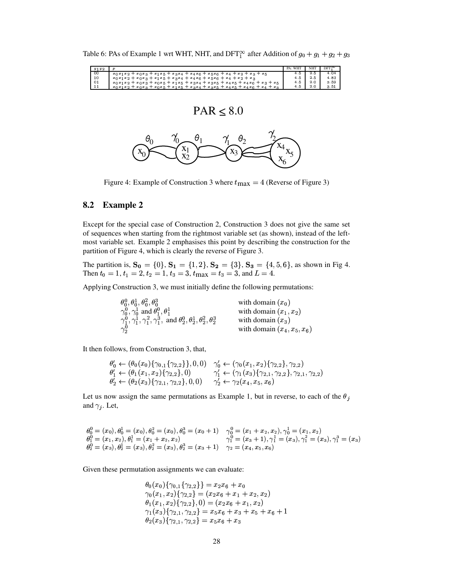Table 6: PAs of Example 1 wrt WHT, NHT, and DFT<sup>oo</sup> after Addition of  $g_0 + g_1 + g_2 + g_3$ 

| 00<br>4.04<br>2.5<br>4.5<br>$x_0x_1x_2+x_0x_3+x_1x_5+x_3x_4+x_4x_6+x_5x_6+x_4+x_2+x_3+x_5$<br>10<br>4.83<br>4.5<br>2.5<br>$x_0x_1x_2+x_0x_3+x_1x_5+x_3x_4+x_4x_6+x_5x_6+x_4+x_2+x_3$<br>$_{01}$<br>3 5 9<br>2.0<br>4.5<br>$x_0x_1x_2+x_0x_3+x_0x_5+x_1x_5+x_3x_4+x_3x_5+x_4x_5+x_4x_6+x_3+x_5$<br>-11<br>3.51<br>2.0<br>4.5<br>$x_0x_1x_2 + x_0x_3 + x_0x_5 + x_1x_5 + x_3x_4 + x_3x_5 + x_4x_5 + x_4x_6 + x_4 + x_3$ | $y_1 y_2$ | $\boldsymbol{v}$ | PA: WHT | <b>NHT</b> | $DFT^{\infty}$ |
|-----------------------------------------------------------------------------------------------------------------------------------------------------------------------------------------------------------------------------------------------------------------------------------------------------------------------------------------------------------------------------------------------------------------------|-----------|------------------|---------|------------|----------------|
|                                                                                                                                                                                                                                                                                                                                                                                                                       |           |                  |         |            |                |
|                                                                                                                                                                                                                                                                                                                                                                                                                       |           |                  |         |            |                |
|                                                                                                                                                                                                                                                                                                                                                                                                                       |           |                  |         |            |                |
|                                                                                                                                                                                                                                                                                                                                                                                                                       |           |                  |         |            |                |

$$
PAR \leq 8.0
$$



Figure 4: Example of Construction 3 where  $t_{\text{max}} = 4$  (Reverse of Figure 3)

### **8.2 Example 2**

Except for the special case of Construction 2, Construction 3 does not give the same set of sequences when starting from the rightmost variable set (as shown), instead of the leftmost variable set. Example 2 emphasises this point by describing the construction for the partition of Figure 4, which is clearly the reverse of Figure 3.

The partition is,  $S_0 = \{0\}$ ,  $S_1 = \{1, 2\}$ ,  $S_2 = \{3\}$ ,  $S_3 = \{4, 5, 6\}$ , as shown in Fig 4. Then  $t_0 = 1, t_1 = 2, t_2 = 1, t_3 = 3, t_{\text{max}} = t_3 = 3, \text{and } L = 4.$ 

Applying Construction 3, we must initially define the following permutations:

| $\theta_0^0, \theta_0^1, \theta_0^2, \theta_0^3$                                                        | with domain $(x_0)$           |
|---------------------------------------------------------------------------------------------------------|-------------------------------|
| $\gamma_0^0, \gamma_0^1$ and $\theta_1^0, \theta_1^1$                                                   | with domain $(x_1, x_2)$      |
| $\gamma_1^0, \gamma_1^1, \gamma_1^2, \gamma_1^3$ , and $\theta_2^0, \theta_2^1, \theta_2^2, \theta_2^3$ | with domain $(x_3)$           |
| $\gamma_2^0$                                                                                            | with domain $(x_4, x_5, x_6)$ |

It then follows, from Construction 3, that,

$$
\begin{array}{ll}\n\theta'_0 \leftarrow (\theta_0(x_0)\{\gamma_{0,1}\{\gamma_{2,2}\}\}, 0, 0) & \gamma'_0 \leftarrow (\gamma_0(x_1, x_2)\{\gamma_{2,2}\}, \gamma_{2,2}) \\
\theta'_1 \leftarrow (\theta_1(x_1, x_2)\{\gamma_{2,2}\}, 0) & \gamma'_1 \leftarrow (\gamma_1(x_3)\{\gamma_{2,1}, \gamma_{2,2}\}, \gamma_{2,1}, \gamma_{2,2}) \\
\theta'_2 \leftarrow (\theta_2(x_3)\{\gamma_{2,1}, \gamma_{2,2}\}, 0, 0) & \gamma'_2 \leftarrow \gamma_2(x_4, x_5, x_6)\n\end{array}
$$

Let us now assign the same permutations as Example 1, but in reverse, to each of the  $\theta_j$ and  $\gamma_j$ . Let,

$$
\begin{array}{ll}\n\theta_0^0 = (x_0), \theta_0^1 = (x_0), \theta_0^2 = (x_0), \theta_0^3 = (x_0 + 1) & \gamma_0^0 = (x_1 + x_2, x_2), \gamma_0^1 = (x_1, x_2) \\
\theta_1^0 = (x_1, x_2), \theta_1^1 = (x_1 + x_2, x_2) & \gamma_1^0 = (x_3 + 1), \gamma_1^1 = (x_3), \gamma_1^2 = (x_3), \gamma_1^3 = (x_3) \\
\theta_2^0 = (x_3), \theta_2^1 = (x_3), \theta_2^2 = (x_3), \theta_2^3 = (x_3 + 1) & \gamma_2 = (x_4, x_5, x_6)\n\end{array}
$$

Given these permutation assignments we can evaluate:

$$
\theta_0(x_0)\{\gamma_{0,1}\{\gamma_{2,2}\}\}=x_2x_6+x_0\gamma_0(x_1,x_2)\{\gamma_{2,2}\}=(x_2x_6+x_1+x_2,x_2)\theta_1(x_1,x_2)\{\gamma_{2,2}\},0)=(x_2x_6+x_1,x_2)\gamma_1(x_3)\{\gamma_{2,1},\gamma_{2,2}\}=x_5x_6+x_3+x_5+x_6+1\theta_2(x_3)\{\gamma_{2,1},\gamma_{2,2}\}=x_5x_6+x_3
$$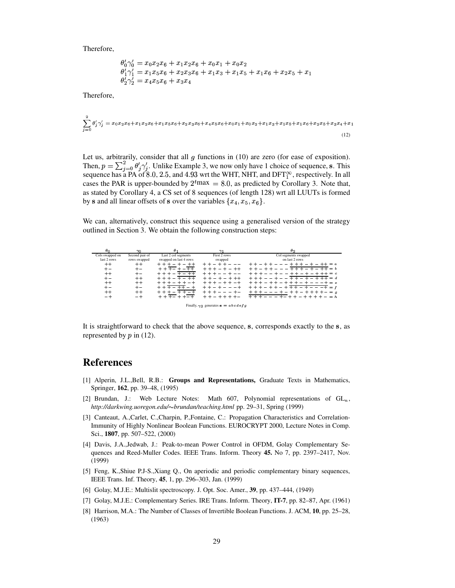Therefore,

$$
\begin{array}{l} \theta'_0 \gamma'_0 = x_0 x_2 x_6 + x_1 x_2 x_6 + x_0 x_1 + x_0 x_2 \\ \theta'_1 \gamma'_1 = x_1 x_5 x_6 + x_2 x_3 x_6 + x_1 x_3 + x_1 x_5 + x_1 x_6 + x_2 x_5 + x_1 \\ \theta'_2 \gamma'_2 = x_4 x_5 x_6 + x_3 x_4 \end{array}
$$

Therefore,

$$
\sum_{j=0}^{2} \theta'_{j} \gamma'_{j} = x_{0}x_{2}x_{6} + x_{1}x_{2}x_{6} + x_{1}x_{5}x_{6} + x_{2}x_{3}x_{6} + x_{4}x_{5}x_{6} + x_{0}x_{1} + x_{0}x_{2} + x_{1}x_{3} + x_{1}x_{5} + x_{1}x_{6} + x_{2}x_{5} + x_{3}x_{4} + x_{1}
$$
\n
$$
(12)
$$

Let us, arbitrarily, consider that all  $g$  functions in (10) are zero (for ease of exposition). Then,  $p = \sum_{i=0}^{2} \theta_i' \gamma_i'$ . Unlike Example 3, we now only have 1 choice of sequence, s. This sequence has a PA of 8.0, 2.5, and 4.93 wrt the WHT, NHT, and DFT $_1^{\infty}$ , respectively. In all cases the PAR is upper-bounded by  $2^{t}$ max = 8.0, as predicted by Corollary 3. Note that, as stated by Corollary 4, a CS set of 8 sequences (of length 128) wrt all LUUTs is formed by **s** and all linear offsets of **s** over the variables  $\{x_4, x_5, x_6\}$ .

We can, alternatively, construct this sequence using a generalised version of the strategy outlined in Section 3. We obtain the following construction steps:

| $\theta_{\Omega}$ | $\gamma_0$     | θ                      | $\gamma_1$                                           | $\theta$             |
|-------------------|----------------|------------------------|------------------------------------------------------|----------------------|
| Cols swapped on   | Second pair of | Last 2 col segments    | First 2 rows                                         | Col segments swapped |
| last 2 rows       | rows swapped   | swapped on last 4 rows | swapped                                              | on last 2 rows       |
| $^+$              | $++$           |                        |                                                      | $= a$                |
| $+-$              | $+ -$          |                        |                                                      | $= b$                |
| $++$              |                |                        |                                                      | $++ = c$             |
| $+-$              | $++$           |                        |                                                      | $= d$                |
| $^+$              | $++$           |                        |                                                      | $=$ $e$              |
| $+-$              | $+ -$          |                        |                                                      | $= f$                |
| $^+$              | $++$           |                        |                                                      | $= q$                |
| -+                | - +            |                        |                                                      | $= h$                |
|                   |                |                        |                                                      |                      |
|                   |                |                        | Finally, $\gamma_2$ generates $\mathbf{s} = abcdefg$ |                      |

It is straightforward to check that the above sequence, s, corresponds exactly to the s, as represented by  $p$  in (12).

# **References**

- [1] Alperin, J.L.,Bell, R.B.: **Groups and Representations,** Graduate Texts in Mathematics, Springer, **162**, pp. 39–48, (1995)
- [2] Brundan, J.: Web Lecture Notes: Math 607, Polynomial representations of  $GL_n$ , *http://darkwing.uoregon.edu/*±*brundan/teaching.html* pp. 29–31, Spring (1999)
- [3] Canteaut, A.,Carlet, C.,Charpin, P.,Fontaine, C.: Propagation Characteristics and Correlation-Immunity of Highly Nonlinear Boolean Functions. EUROCRYPT 2000, Lecture Notes in Comp. Sci., **1807**, pp. 507–522, (2000)
- [4] Davis, J.A.,Jedwab, J.: Peak-to-mean Power Control in OFDM, Golay Complementary Sequences and Reed-Muller Codes. IEEE Trans. Inform. Theory **45.** No 7, pp. 2397–2417, Nov. (1999)
- [5] Feng, K.,Shiue P.J-S.,Xiang Q., On aperiodic and periodic complementary binary sequences, IEEE Trans. Inf. Theory, **45**, 1, pp. 296–303, Jan. (1999)
- [6] Golay, M.J.E.: Multislit spectroscopy. J. Opt. Soc. Amer., **39**, pp. 437–444, (1949)
- [7] Golay, M.J.E.: Complementary Series. IRE Trans. Inform. Theory, **IT-7**, pp. 82–87, Apr. (1961)
- [8] Harrison, M.A.: The Number of Classes of Invertible Boolean Functions. J. ACM, **10**, pp. 25–28, (1963)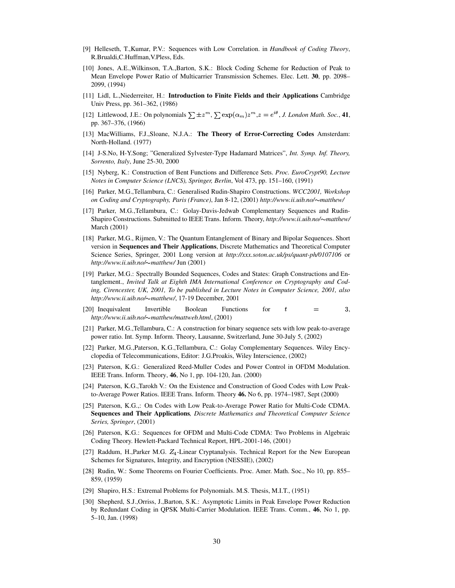- [9] Helleseth, T.,Kumar, P.V.: Sequences with Low Correlation. in *Handbook of Coding Theory*, R.Brualdi,C.Huffman,V.Pless, Eds.
- [10] Jones, A.E.,Wilkinson, T.A.,Barton, S.K.: Block Coding Scheme for Reduction of Peak to Mean Envelope Power Ratio of Multicarrier Transmission Schemes. Elec. Lett. **30**, pp. 2098– 2099, (1994)
- [11] Lidl, L.,Niederreiter, H.: **Introduction to Finite Fields and their Applications** Cambridge Univ Press, pp. 361–362, (1986)
- [12] Littlewood, J.E.: On polynomials  $\sum \pm z^m$ ,  $\sum \exp(\alpha_m) z^m$ ,  $z = e^{i\theta}$ , *J. London Math. Soc.*, **41**, pp. 367–376, (1966)
- [13] MacWilliams, F.J.,Sloane, N.J.A.: **The Theory of Error-Correcting Codes** Amsterdam: North-Holland. (1977)
- [14] J-S.No, H-Y.Song; "Generalized Sylvester-Type Hadamard Matrices", *Int. Symp. Inf. Theory, Sorrento, Italy*, June 25-30, 2000
- [15] Nyberg, K.: Construction of Bent Functions and Difference Sets. *Proc. EuroCrypt90, Lecture Notes in Computer Science (LNCS), Springer, Berlin*, Vol 473, pp. 151–160, (1991)
- [16] Parker, M.G.,Tellambura, C.: Generalised Rudin-Shapiro Constructions. *WCC2001, Workshop on Coding and Cryptography, Paris (France)*, Jan 8-12, (2001) *http://www.ii.uib.no/*±*matthew/*
- [17] Parker, M.G.,Tellambura, C.: Golay-Davis-Jedwab Complementary Sequences and Rudin-Shapiro Constructions. Submitted to IEEE Trans. Inform. Theory, *http://www.ii.uib.no/*±*matthew/* March (2001)
- [18] Parker, M.G., Rijmen, V.: The Quantum Entanglement of Binary and Bipolar Sequences. Short version in **Sequences and Their Applications**, Discrete Mathematics and Theoretical Computer Science Series, Springer, 2001 Long version at *http://xxx.soton.ac.uk/ps/quant-ph/0107106* or *http://www.ii.uib.no/*±*matthew/* Jun (2001)
- [19] Parker, M.G.: Spectrally Bounded Sequences, Codes and States: Graph Constructions and Entanglement., *Invited Talk at Eighth IMA International Conference on Cryptography and Coding, Cirencester, UK, 2001, To be published in Lecture Notes in Computer Science, 2001, also http://www.ii.uib.no/*±*matthew/*, 17-19 December, 2001
- [20] Inequivalent Invertible Boolean Functions for  $t$ , *http://www.ii.uib.no/*±*matthew/mattweb.html*, (2001)
- [21] Parker, M.G.,Tellambura, C.: A construction for binary sequence sets with low peak-to-average power ratio. Int. Symp. Inform. Theory, Lausanne, Switzerland, June 30-July 5, (2002)
- [22] Parker, M.G.,Paterson, K.G.,Tellambura, C.: Golay Complementary Sequences. Wiley Encyclopedia of Telecommunications, Editor: J.G.Proakis, Wiley Interscience, (2002)
- [23] Paterson, K.G.: Generalized Reed-Muller Codes and Power Control in OFDM Modulation. IEEE Trans. Inform. Theory, **46**, No 1, pp. 104-120, Jan. (2000)
- [24] Paterson, K.G.,Tarokh V.: On the Existence and Construction of Good Codes with Low Peakto-Average Power Ratios. IEEE Trans. Inform. Theory **46.** No 6, pp. 1974–1987, Sept (2000)
- [25] Paterson, K.G.,: On Codes with Low Peak-to-Average Power Ratio for Multi-Code CDMA. **Sequences and Their Applications***, Discrete Mathematics and Theoretical Computer Science Series, Springer*, (2001)
- [26] Paterson, K.G.: Sequences for OFDM and Multi-Code CDMA: Two Problems in Algebraic Coding Theory. Hewlett-Packard Technical Report, HPL-2001-146, (2001)
- [27] Raddum, H.,Parker M.G. Z<sub>4</sub>-Linear Cryptanalysis. Technical Report for the New European Schemes for Signatures, Integrity, and Encryption (NESSIE), (2002)
- [28] Rudin, W.: Some Theorems on Fourier Coefficients. Proc. Amer. Math. Soc., No 10, pp. 855– 859, (1959)
- [29] Shapiro, H.S.: Extremal Problems for Polynomials. M.S. Thesis, M.I.T., (1951)
- [30] Shepherd, S.J.,Orriss, J.,Barton, S.K.: Asymptotic Limits in Peak Envelope Power Reduction by Redundant Coding in QPSK Multi-Carrier Modulation. IEEE Trans. Comm., **46**, No 1, pp. 5–10, Jan. (1998)